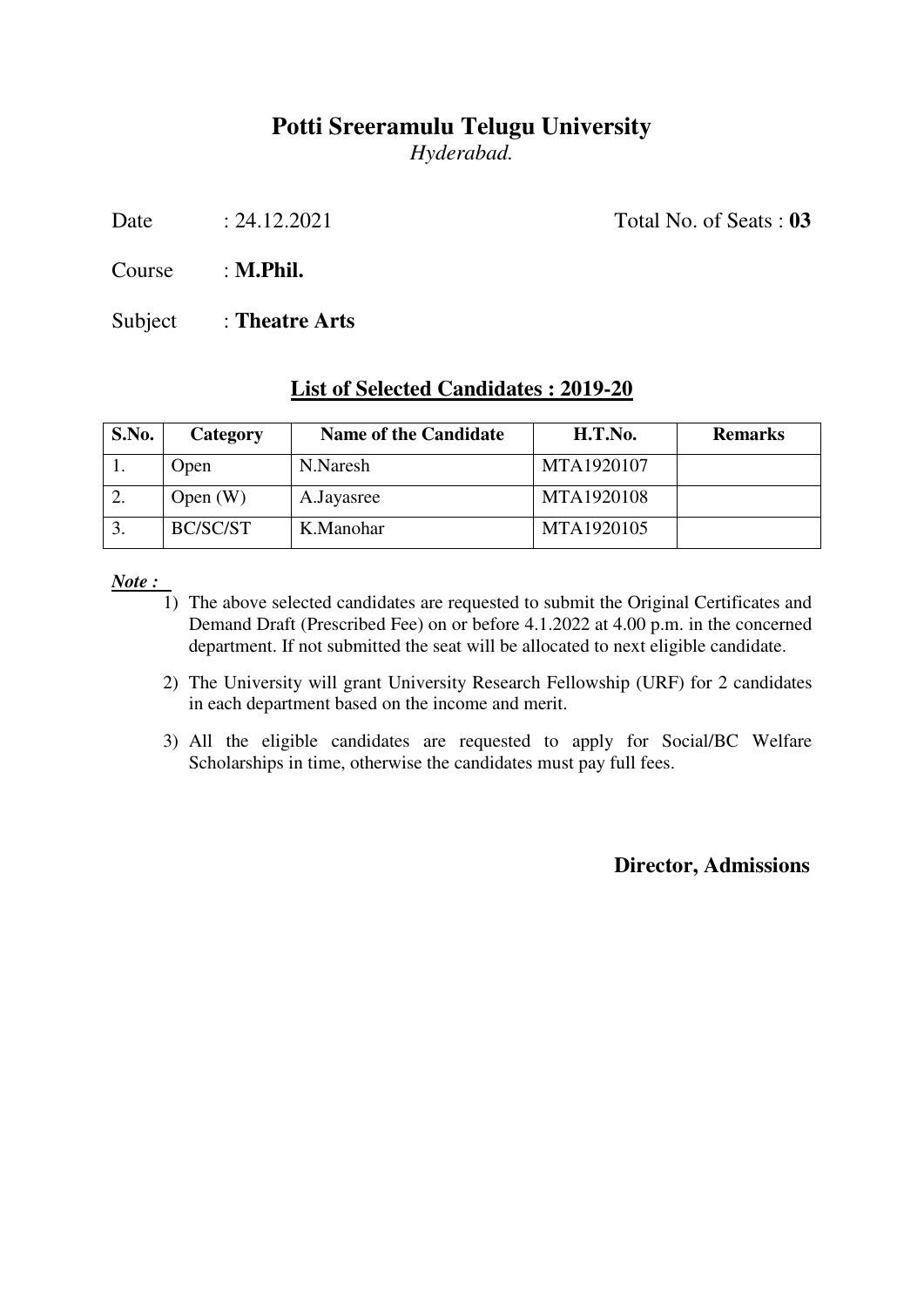*Hyderabad.* 

Date : 24.12.2021 Total No. of Seats : **03** 

Course : **M.Phil.**

Subject : **Theatre Arts**

### **List of Selected Candidates : 2019-20**

| S.No. | Category    | <b>Name of the Candidate</b> | H.T.No.    | <b>Remarks</b> |
|-------|-------------|------------------------------|------------|----------------|
|       | <b>Open</b> | N.Naresh                     | MTA1920107 |                |
|       | Open $(W)$  | A.Jayasree                   | MTA1920108 |                |
| 3.    | BC/SC/ST    | K.Manohar                    | MTA1920105 |                |

*Note :* 

- 1) The above selected candidates are requested to submit the Original Certificates and Demand Draft (Prescribed Fee) on or before 4.1.2022 at 4.00 p.m. in the concerned department. If not submitted the seat will be allocated to next eligible candidate.
- 2) The University will grant University Research Fellowship (URF) for 2 candidates in each department based on the income and merit.
- 3) All the eligible candidates are requested to apply for Social/BC Welfare Scholarships in time, otherwise the candidates must pay full fees.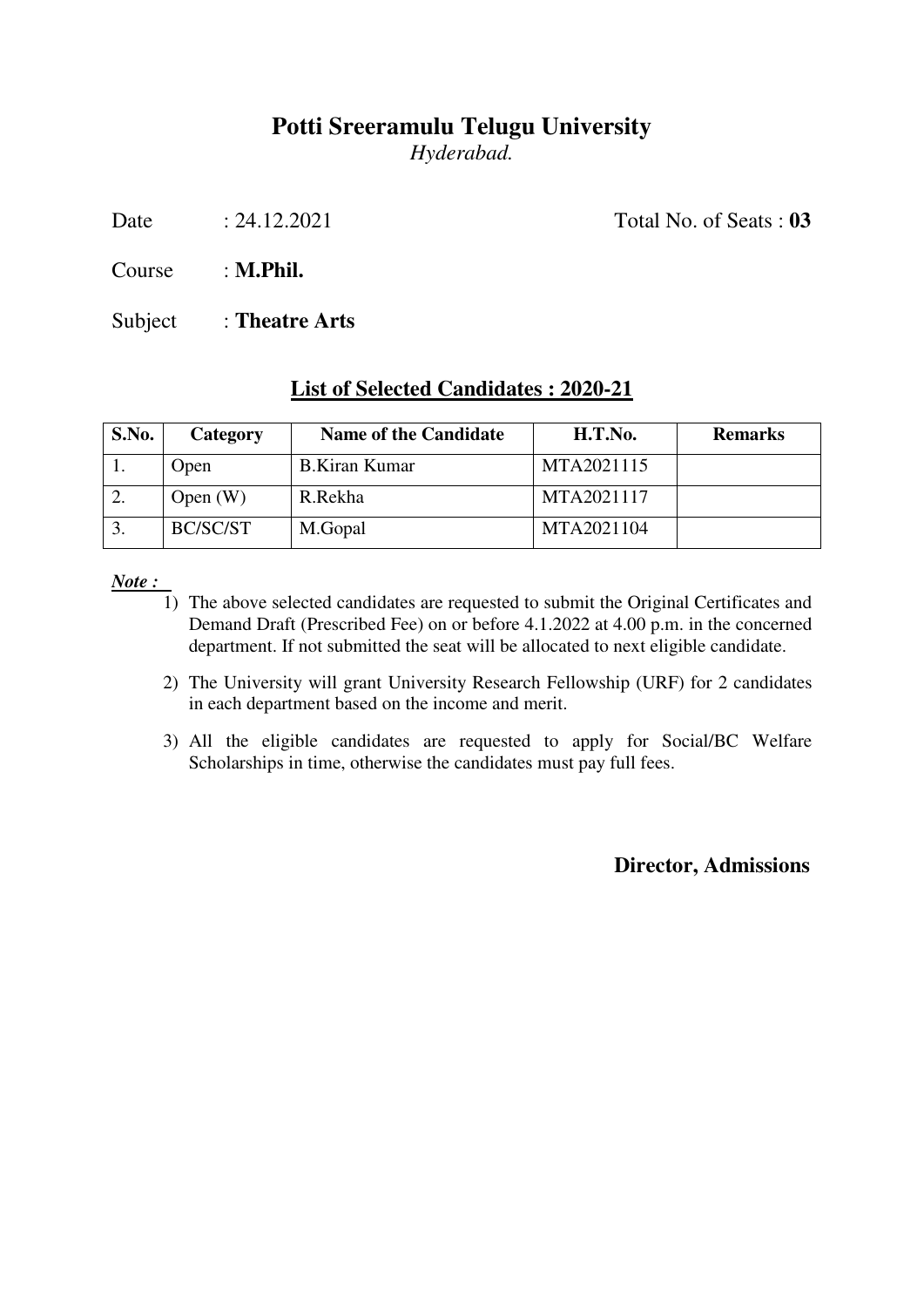*Hyderabad.* 

Date : 24.12.2021 Total No. of Seats : **03** 

Course : **M.Phil.**

Subject : **Theatre Arts**

### **List of Selected Candidates : 2020-21**

| S.No. | Category   | <b>Name of the Candidate</b> | H.T.No.    | <b>Remarks</b> |
|-------|------------|------------------------------|------------|----------------|
|       | Open       | <b>B.Kiran Kumar</b>         | MTA2021115 |                |
|       | Open $(W)$ | R.Rekha                      | MTA2021117 |                |
|       | BC/SC/ST   | M.Gopal                      | MTA2021104 |                |

*Note :* 

- 1) The above selected candidates are requested to submit the Original Certificates and Demand Draft (Prescribed Fee) on or before 4.1.2022 at 4.00 p.m. in the concerned department. If not submitted the seat will be allocated to next eligible candidate.
- 2) The University will grant University Research Fellowship (URF) for 2 candidates in each department based on the income and merit.
- 3) All the eligible candidates are requested to apply for Social/BC Welfare Scholarships in time, otherwise the candidates must pay full fees.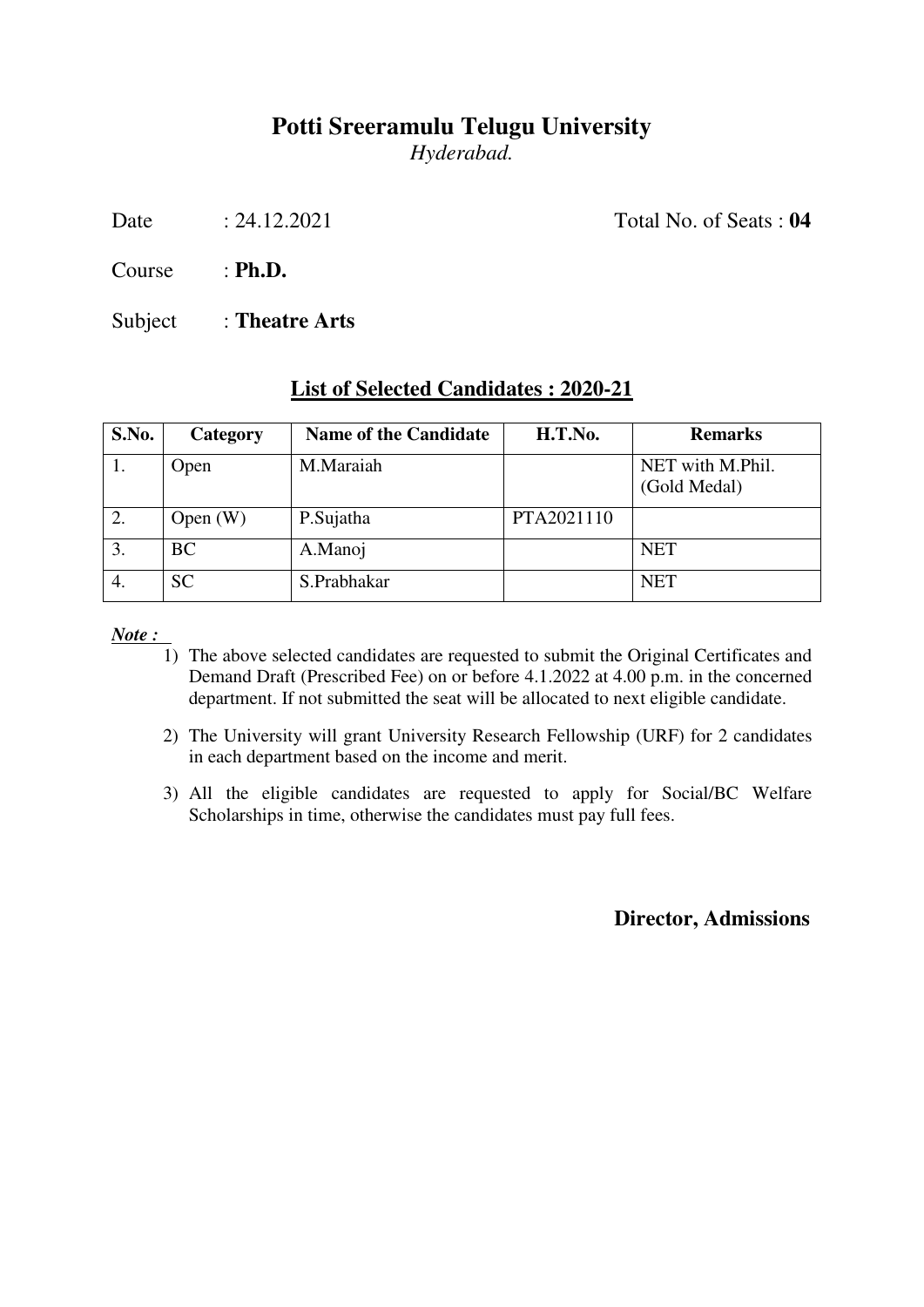*Hyderabad.* 

Date : 24.12.2021 Total No. of Seats : **04** 

Course : **Ph.D.**

Subject : **Theatre Arts**

### **List of Selected Candidates : 2020-21**

| S.No. | <b>Category</b> | <b>Name of the Candidate</b> | H.T.No.    | <b>Remarks</b>                   |
|-------|-----------------|------------------------------|------------|----------------------------------|
| 1.    | Open            | M.Maraiah                    |            | NET with M.Phil.<br>(Gold Medal) |
| 2.    | Open $(W)$      | P.Sujatha                    | PTA2021110 |                                  |
| 3.    | <b>BC</b>       | A.Manoj                      |            | <b>NET</b>                       |
| 4.    | <b>SC</b>       | S.Prabhakar                  |            | <b>NET</b>                       |

*Note :* 

- 1) The above selected candidates are requested to submit the Original Certificates and Demand Draft (Prescribed Fee) on or before 4.1.2022 at 4.00 p.m. in the concerned department. If not submitted the seat will be allocated to next eligible candidate.
- 2) The University will grant University Research Fellowship (URF) for 2 candidates in each department based on the income and merit.
- 3) All the eligible candidates are requested to apply for Social/BC Welfare Scholarships in time, otherwise the candidates must pay full fees.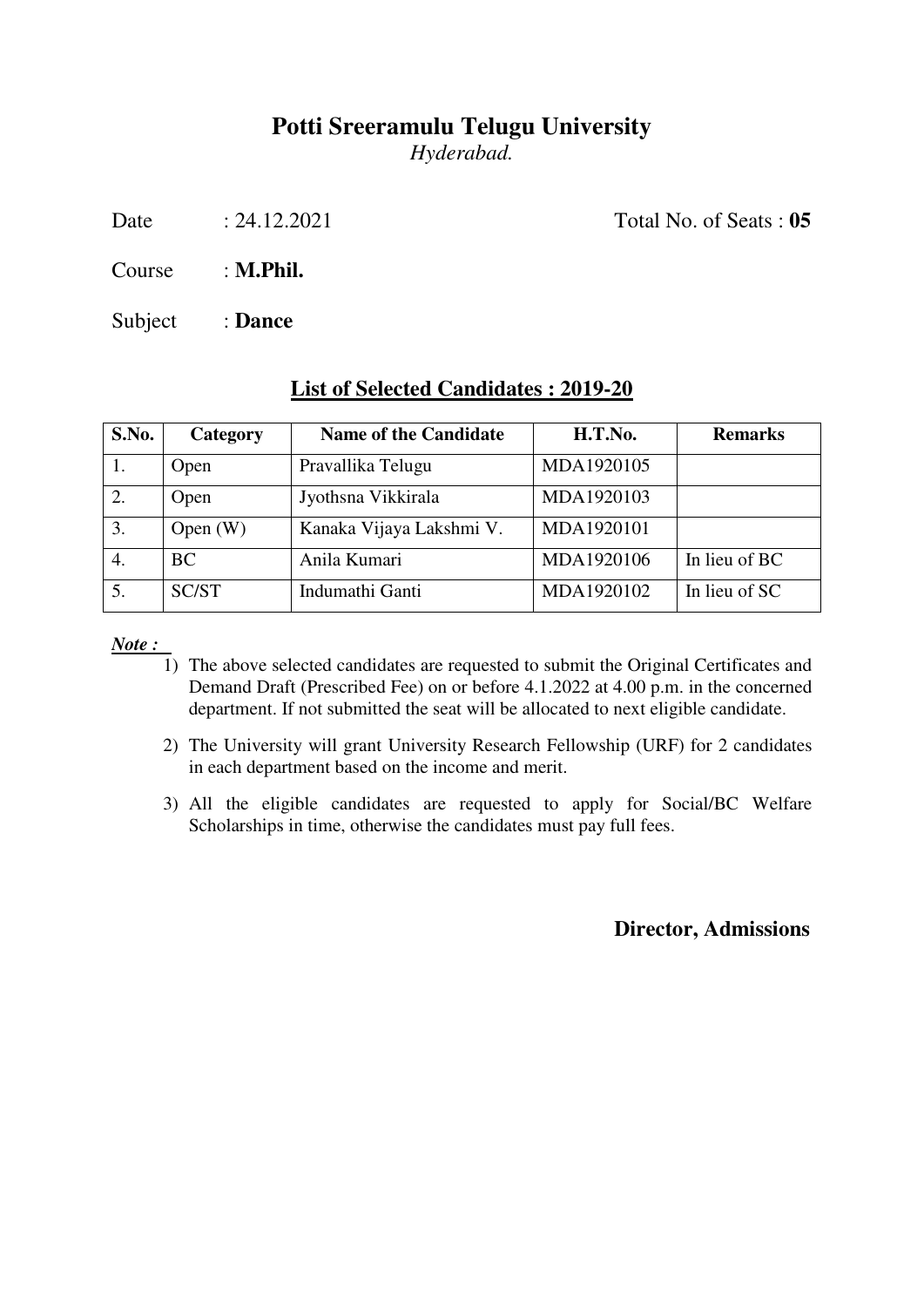*Hyderabad.* 

Date : 24.12.2021 Total No. of Seats : **05** 

Course : **M.Phil.**

Subject : **Dance**

#### **List of Selected Candidates : 2019-20**

| S.No. | Category     | <b>Name of the Candidate</b> | H.T.No.    | <b>Remarks</b> |
|-------|--------------|------------------------------|------------|----------------|
|       | Open         | Pravallika Telugu            | MDA1920105 |                |
| 2.    | Open         | Jyothsna Vikkirala           | MDA1920103 |                |
| 3.    | Open $(W)$   | Kanaka Vijaya Lakshmi V.     | MDA1920101 |                |
|       | BC           | Anila Kumari                 | MDA1920106 | In lieu of BC  |
|       | <b>SC/ST</b> | Indumathi Ganti              | MDA1920102 | In lieu of SC  |

*Note :* 

- 1) The above selected candidates are requested to submit the Original Certificates and Demand Draft (Prescribed Fee) on or before 4.1.2022 at 4.00 p.m. in the concerned department. If not submitted the seat will be allocated to next eligible candidate.
- 2) The University will grant University Research Fellowship (URF) for 2 candidates in each department based on the income and merit.
- 3) All the eligible candidates are requested to apply for Social/BC Welfare Scholarships in time, otherwise the candidates must pay full fees.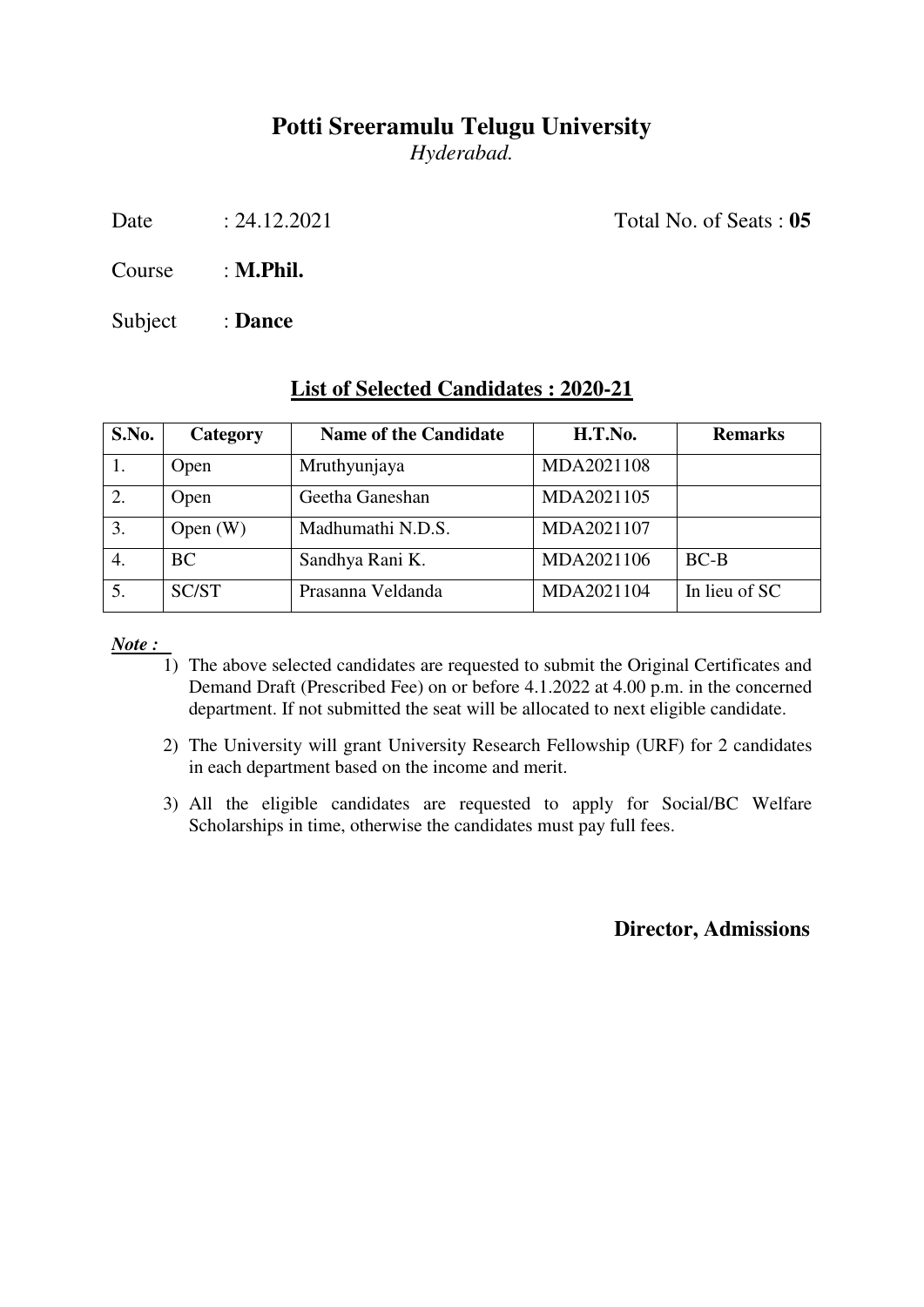*Hyderabad.* 

Date : 24.12.2021 Total No. of Seats : **05** 

Course : **M.Phil.**

Subject : **Dance**

#### **List of Selected Candidates : 2020-21**

| S.No. | Category     | <b>Name of the Candidate</b> | H.T.No.    | <b>Remarks</b> |
|-------|--------------|------------------------------|------------|----------------|
| 1.    | Open         | Mruthyunjaya                 | MDA2021108 |                |
| 2.    | Open         | Geetha Ganeshan              | MDA2021105 |                |
| 3.    | Open $(W)$   | Madhumathi N.D.S.            | MDA2021107 |                |
| 4.    | <b>BC</b>    | Sandhya Rani K.              | MDA2021106 | $BC-B$         |
| 5.    | <b>SC/ST</b> | Prasanna Veldanda            | MDA2021104 | In lieu of SC  |

*Note :* 

- 1) The above selected candidates are requested to submit the Original Certificates and Demand Draft (Prescribed Fee) on or before 4.1.2022 at 4.00 p.m. in the concerned department. If not submitted the seat will be allocated to next eligible candidate.
- 2) The University will grant University Research Fellowship (URF) for 2 candidates in each department based on the income and merit.
- 3) All the eligible candidates are requested to apply for Social/BC Welfare Scholarships in time, otherwise the candidates must pay full fees.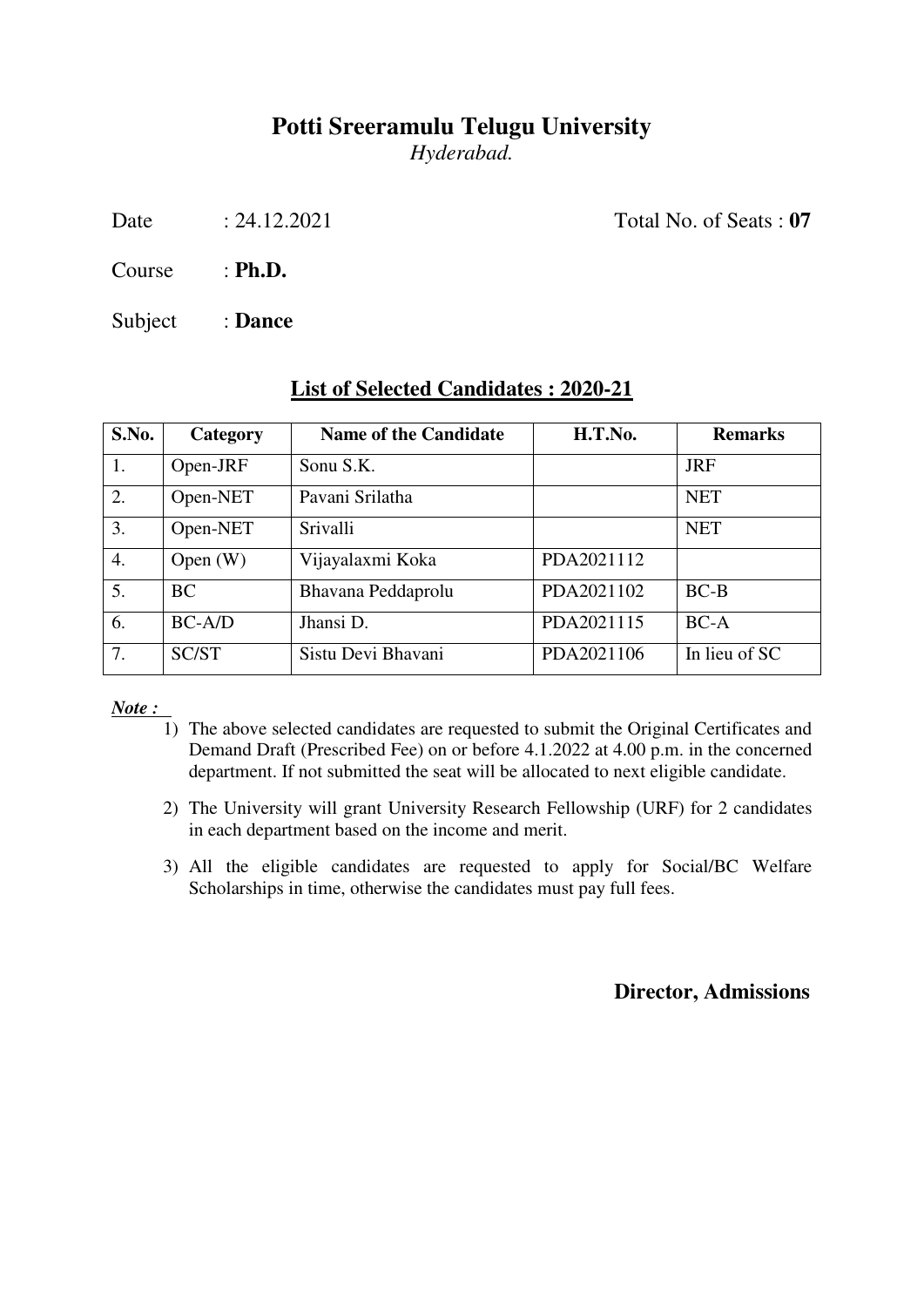*Hyderabad.* 

Date : 24.12.2021 Total No. of Seats : **07** 

Course : **Ph.D.**

Subject : **Dance**

| S.No.            | Category   | <b>Name of the Candidate</b> | H.T.No.    | <b>Remarks</b> |
|------------------|------------|------------------------------|------------|----------------|
| 1.               | Open-JRF   | Sonu S.K.                    |            | <b>JRF</b>     |
| 2.               | Open-NET   | Pavani Srilatha              |            | <b>NET</b>     |
| 3.               | Open-NET   | Srivalli                     |            | <b>NET</b>     |
| $\overline{4}$ . | Open $(W)$ | Vijayalaxmi Koka             | PDA2021112 |                |
| 5.               | <b>BC</b>  | Bhavana Peddaprolu           | PDA2021102 | $BC-B$         |
| 6.               | $BC-A/D$   | Jhansi D.                    | PDA2021115 | $BC-A$         |
| 7.               | SC/ST      | Sistu Devi Bhavani           | PDA2021106 | In lieu of SC  |

### **List of Selected Candidates : 2020-21**

*Note :* 

- 1) The above selected candidates are requested to submit the Original Certificates and Demand Draft (Prescribed Fee) on or before 4.1.2022 at 4.00 p.m. in the concerned department. If not submitted the seat will be allocated to next eligible candidate.
- 2) The University will grant University Research Fellowship (URF) for 2 candidates in each department based on the income and merit.
- 3) All the eligible candidates are requested to apply for Social/BC Welfare Scholarships in time, otherwise the candidates must pay full fees.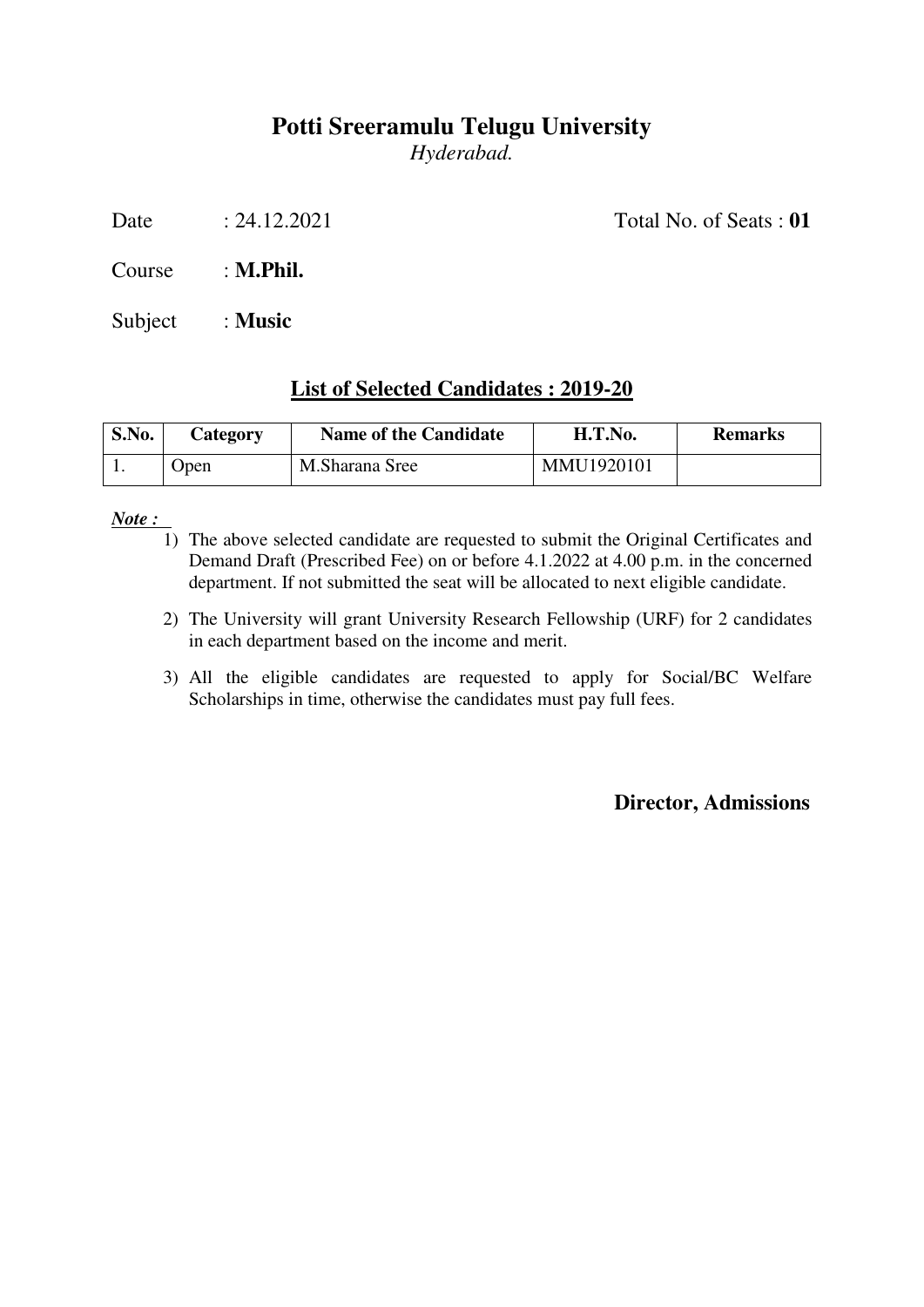*Hyderabad.* 

Date : 24.12.2021 Total No. of Seats : **01** 

Course : **M.Phil.**

Subject : **Music**

### **List of Selected Candidates : 2019-20**

| S.No. | Category | <b>Name of the Candidate</b> | H.T.No.    | <b>Remarks</b> |
|-------|----------|------------------------------|------------|----------------|
|       | Open     | M.Sharana Sree               | MMU1920101 |                |

*Note :* 

- 1) The above selected candidate are requested to submit the Original Certificates and Demand Draft (Prescribed Fee) on or before 4.1.2022 at 4.00 p.m. in the concerned department. If not submitted the seat will be allocated to next eligible candidate.
- 2) The University will grant University Research Fellowship (URF) for 2 candidates in each department based on the income and merit.
- 3) All the eligible candidates are requested to apply for Social/BC Welfare Scholarships in time, otherwise the candidates must pay full fees.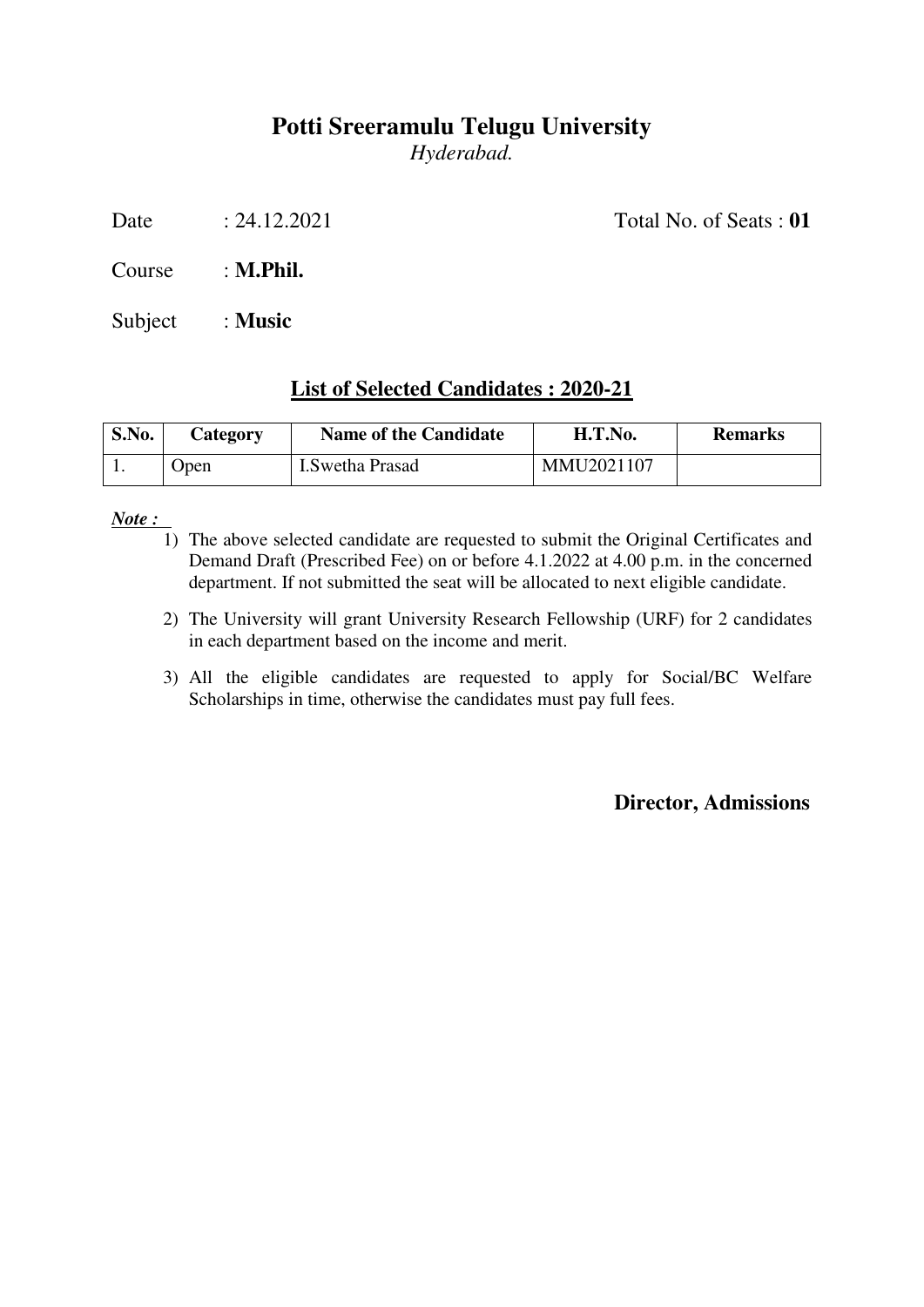*Hyderabad.* 

Date : 24.12.2021 Total No. of Seats : **01** 

Course : **M.Phil.**

Subject : **Music**

### **List of Selected Candidates : 2020-21**

| S.No. | Category | <b>Name of the Candidate</b> | H.T.No.    | <b>Remarks</b> |
|-------|----------|------------------------------|------------|----------------|
|       | Open     | <b>I.Swetha Prasad</b>       | MMU2021107 |                |

*Note :* 

- 1) The above selected candidate are requested to submit the Original Certificates and Demand Draft (Prescribed Fee) on or before 4.1.2022 at 4.00 p.m. in the concerned department. If not submitted the seat will be allocated to next eligible candidate.
- 2) The University will grant University Research Fellowship (URF) for 2 candidates in each department based on the income and merit.
- 3) All the eligible candidates are requested to apply for Social/BC Welfare Scholarships in time, otherwise the candidates must pay full fees.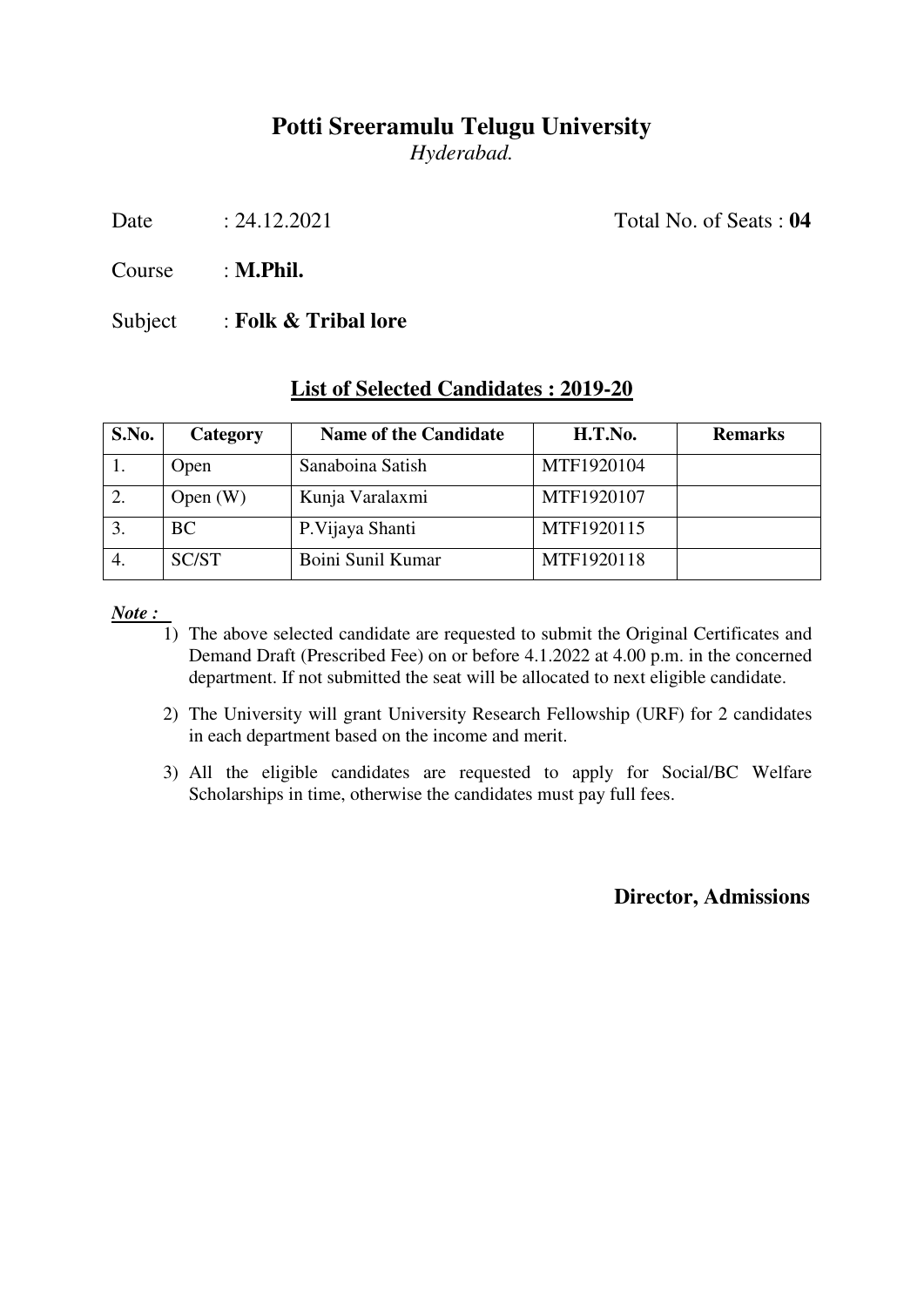*Hyderabad.* 

Date : 24.12.2021 Total No. of Seats : **04** 

Course : **M.Phil.**

Subject : **Folk & Tribal lore** 

#### **List of Selected Candidates : 2019-20**

| S.No. | <b>Category</b> | <b>Name of the Candidate</b> | H.T.No.    | <b>Remarks</b> |
|-------|-----------------|------------------------------|------------|----------------|
|       | Open            | Sanaboina Satish             | MTF1920104 |                |
| 2.    | Open $(W)$      | Kunja Varalaxmi              | MTF1920107 |                |
| 3.    | <b>BC</b>       | P. Vijaya Shanti             | MTF1920115 |                |
|       | <b>SC/ST</b>    | Boini Sunil Kumar            | MTF1920118 |                |

*Note :* 

- 1) The above selected candidate are requested to submit the Original Certificates and Demand Draft (Prescribed Fee) on or before 4.1.2022 at 4.00 p.m. in the concerned department. If not submitted the seat will be allocated to next eligible candidate.
- 2) The University will grant University Research Fellowship (URF) for 2 candidates in each department based on the income and merit.
- 3) All the eligible candidates are requested to apply for Social/BC Welfare Scholarships in time, otherwise the candidates must pay full fees.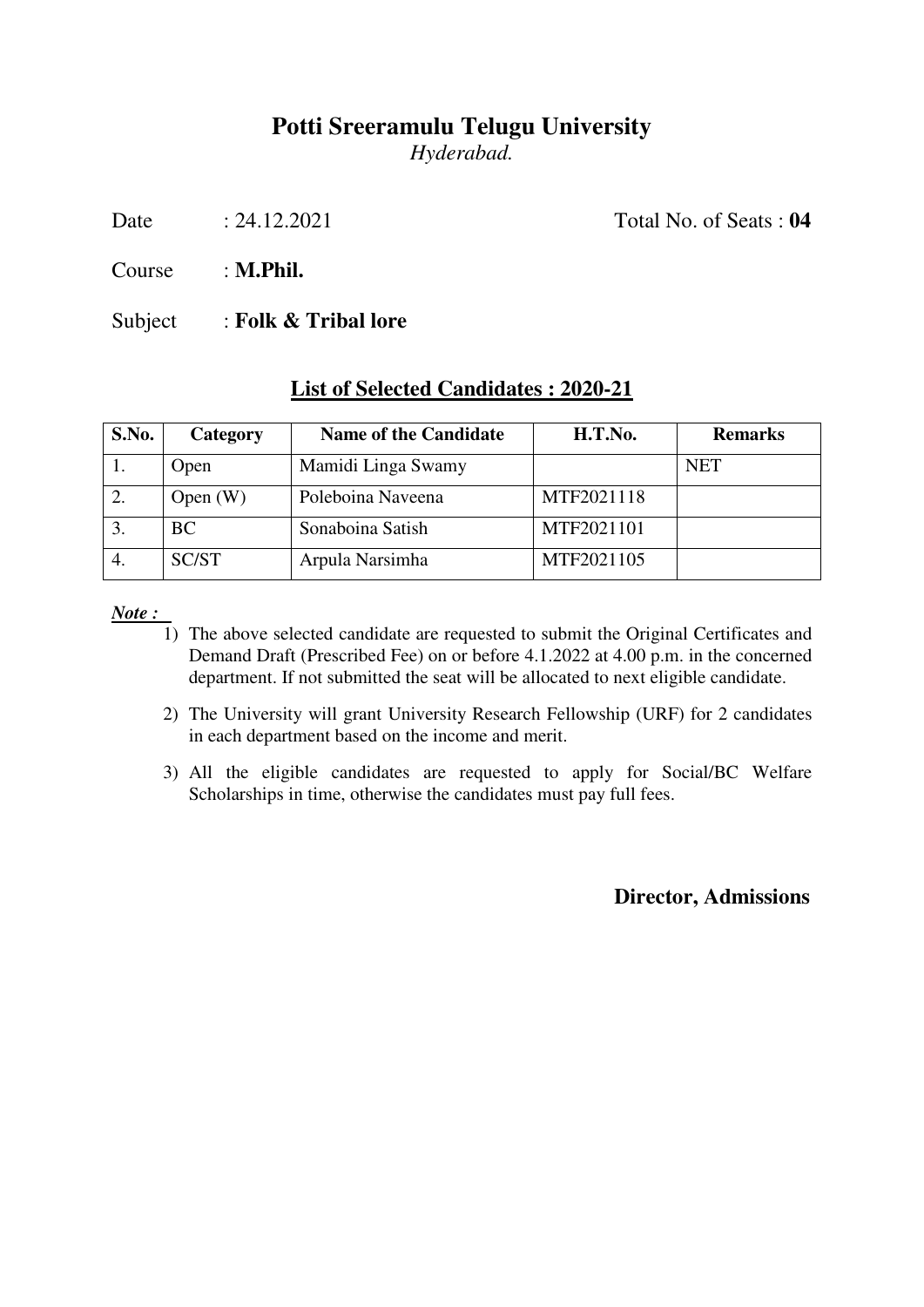*Hyderabad.* 

Date : 24.12.2021 Total No. of Seats : **04** 

Course : **M.Phil.**

Subject : **Folk & Tribal lore** 

#### **List of Selected Candidates : 2020-21**

| S.No.            | <b>Category</b> | <b>Name of the Candidate</b> | H.T.No.    | <b>Remarks</b> |
|------------------|-----------------|------------------------------|------------|----------------|
|                  | Open            | Mamidi Linga Swamy           |            | <b>NET</b>     |
| 2.               | Open $(W)$      | Poleboina Naveena            | MTF2021118 |                |
| $\mathfrak{Z}$ . | <b>BC</b>       | Sonaboina Satish             | MTF2021101 |                |
|                  | SC/ST           | Arpula Narsimha              | MTF2021105 |                |

*Note :* 

- 1) The above selected candidate are requested to submit the Original Certificates and Demand Draft (Prescribed Fee) on or before 4.1.2022 at 4.00 p.m. in the concerned department. If not submitted the seat will be allocated to next eligible candidate.
- 2) The University will grant University Research Fellowship (URF) for 2 candidates in each department based on the income and merit.
- 3) All the eligible candidates are requested to apply for Social/BC Welfare Scholarships in time, otherwise the candidates must pay full fees.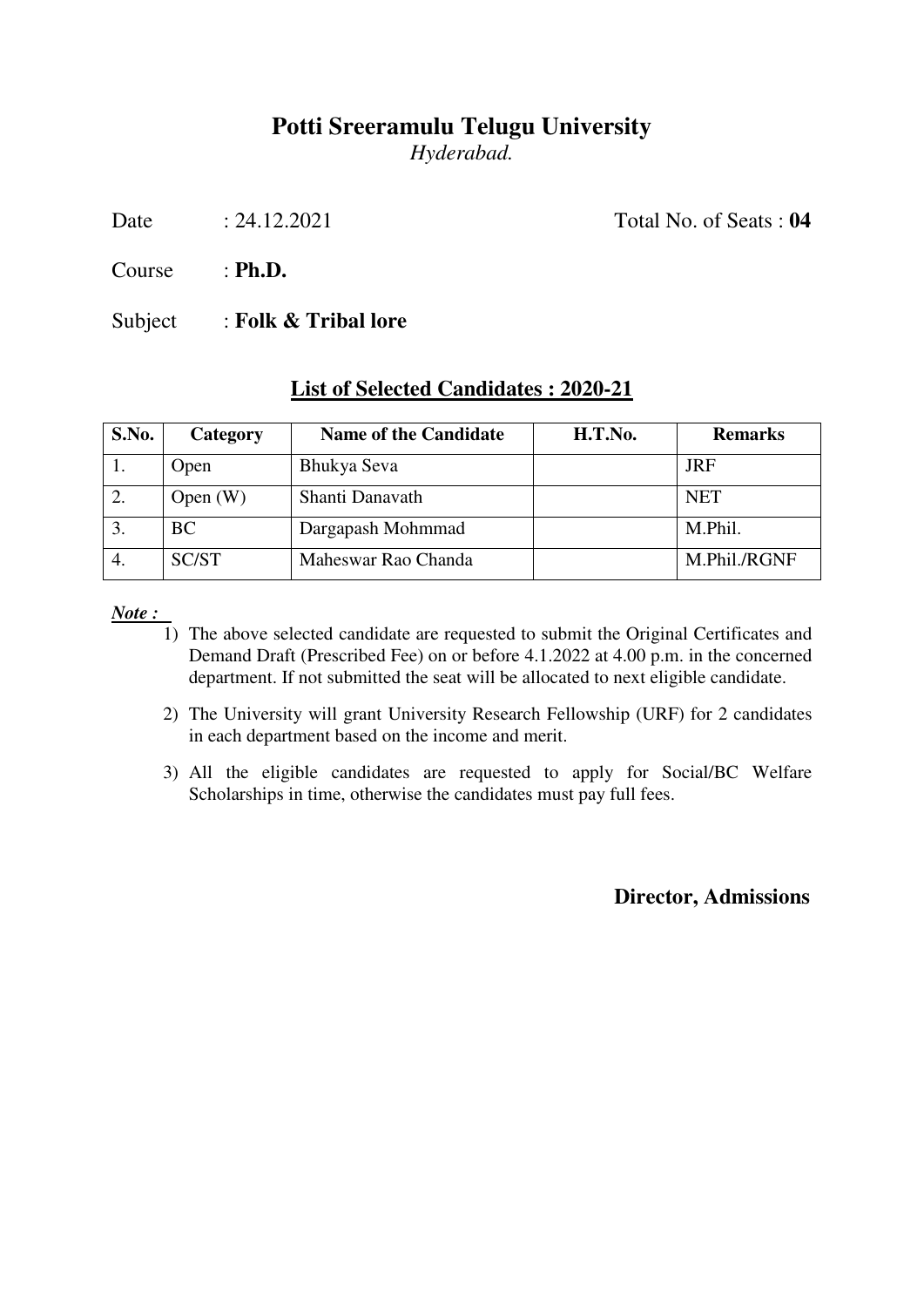*Hyderabad.* 

Date : 24.12.2021 Total No. of Seats : **04** 

Course : **Ph.D.**

Subject : **Folk & Tribal lore** 

### **List of Selected Candidates : 2020-21**

| S.No. | Category   | <b>Name of the Candidate</b> | H.T.No. | <b>Remarks</b> |
|-------|------------|------------------------------|---------|----------------|
|       | Open       | Bhukya Seva                  |         | <b>JRF</b>     |
| 2.    | Open $(W)$ | Shanti Danavath              |         | <b>NET</b>     |
| 3.    | BC         | Dargapash Mohmmad            |         | M.Phil.        |
|       | SC/ST      | Maheswar Rao Chanda          |         | M.Phil./RGNF   |

*Note :* 

- 1) The above selected candidate are requested to submit the Original Certificates and Demand Draft (Prescribed Fee) on or before 4.1.2022 at 4.00 p.m. in the concerned department. If not submitted the seat will be allocated to next eligible candidate.
- 2) The University will grant University Research Fellowship (URF) for 2 candidates in each department based on the income and merit.
- 3) All the eligible candidates are requested to apply for Social/BC Welfare Scholarships in time, otherwise the candidates must pay full fees.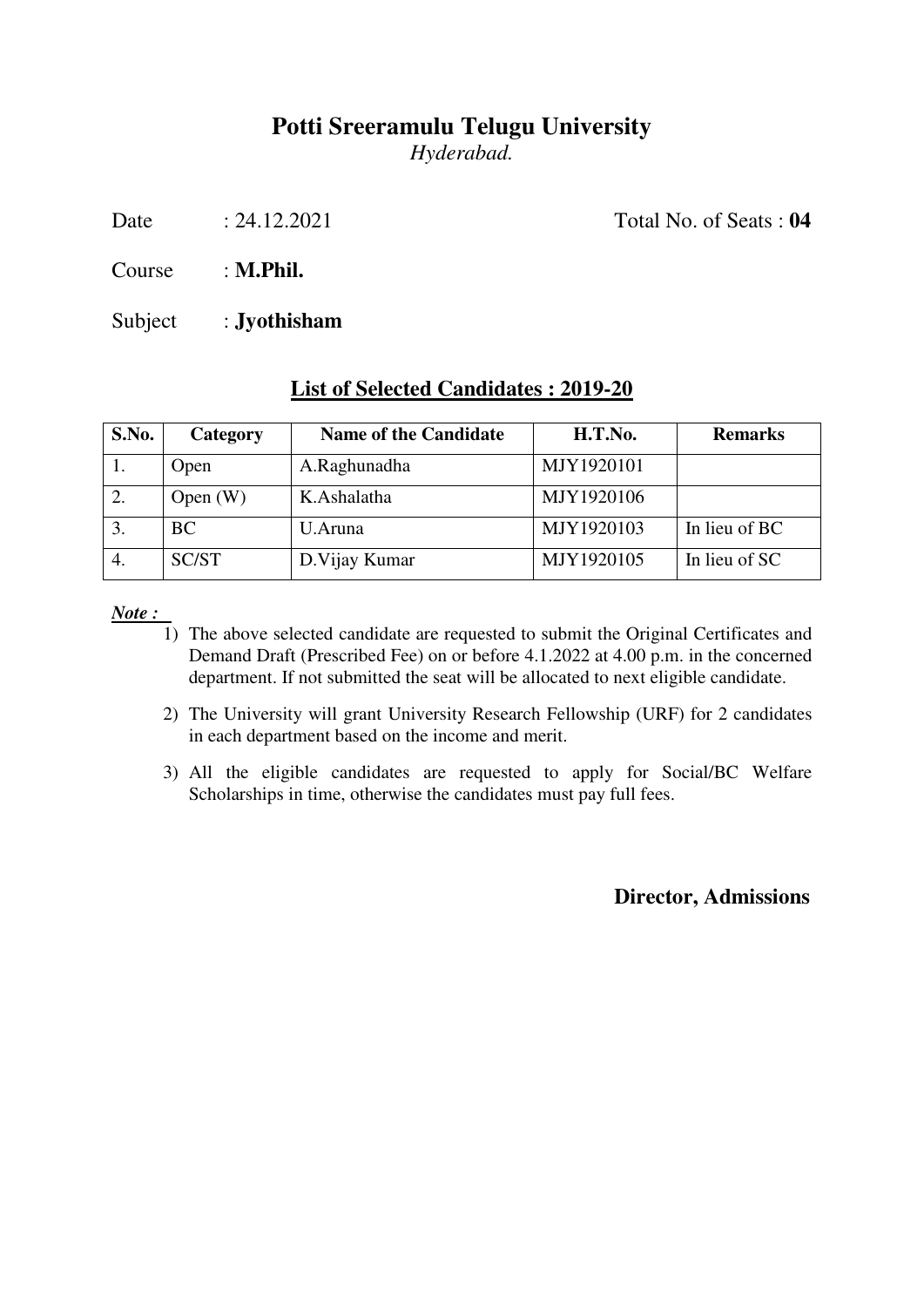*Hyderabad.* 

Date : 24.12.2021 Total No. of Seats : **04** 

Course : **M.Phil.**

Subject : **Jyothisham** 

### **List of Selected Candidates : 2019-20**

| S.No. | <b>Category</b> | <b>Name of the Candidate</b> | H.T.No.    | <b>Remarks</b> |
|-------|-----------------|------------------------------|------------|----------------|
|       | Open            | A.Raghunadha                 | MJY1920101 |                |
| 2.    | Open $(W)$      | K.Ashalatha                  | MJY1920106 |                |
| 3.    | <b>BC</b>       | U.Aruna                      | MJY1920103 | In lieu of BC  |
| 4.    | SC/ST           | D. Vijay Kumar               | MJY1920105 | In lieu of SC  |

*Note :* 

- 1) The above selected candidate are requested to submit the Original Certificates and Demand Draft (Prescribed Fee) on or before 4.1.2022 at 4.00 p.m. in the concerned department. If not submitted the seat will be allocated to next eligible candidate.
- 2) The University will grant University Research Fellowship (URF) for 2 candidates in each department based on the income and merit.
- 3) All the eligible candidates are requested to apply for Social/BC Welfare Scholarships in time, otherwise the candidates must pay full fees.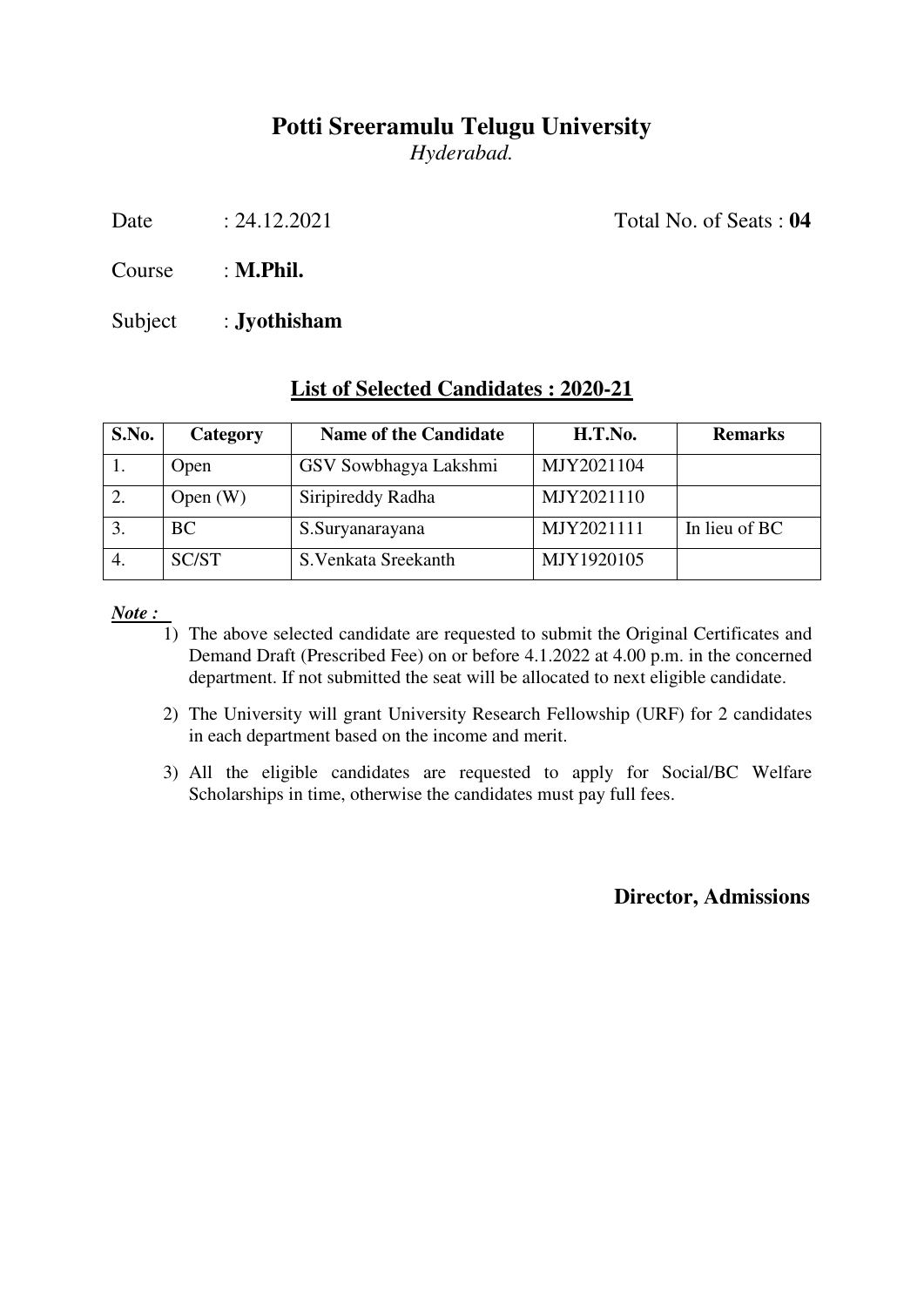*Hyderabad.* 

Date : 24.12.2021 Total No. of Seats : **04** 

Course : **M.Phil.**

Subject : **Jyothisham** 

#### **List of Selected Candidates : 2020-21**

| S.No.            | <b>Category</b> | <b>Name of the Candidate</b> | H.T.No.    | <b>Remarks</b> |
|------------------|-----------------|------------------------------|------------|----------------|
|                  | Open            | GSV Sowbhagya Lakshmi        | MJY2021104 |                |
| 2.               | Open $(W)$      | Siripireddy Radha            | MJY2021110 |                |
| 3.               | <b>BC</b>       | S.Suryanarayana              | MJY2021111 | In lieu of BC  |
| $\overline{4}$ . | SC/ST           | S. Venkata Sreekanth         | MJY1920105 |                |

*Note :* 

- 1) The above selected candidate are requested to submit the Original Certificates and Demand Draft (Prescribed Fee) on or before 4.1.2022 at 4.00 p.m. in the concerned department. If not submitted the seat will be allocated to next eligible candidate.
- 2) The University will grant University Research Fellowship (URF) for 2 candidates in each department based on the income and merit.
- 3) All the eligible candidates are requested to apply for Social/BC Welfare Scholarships in time, otherwise the candidates must pay full fees.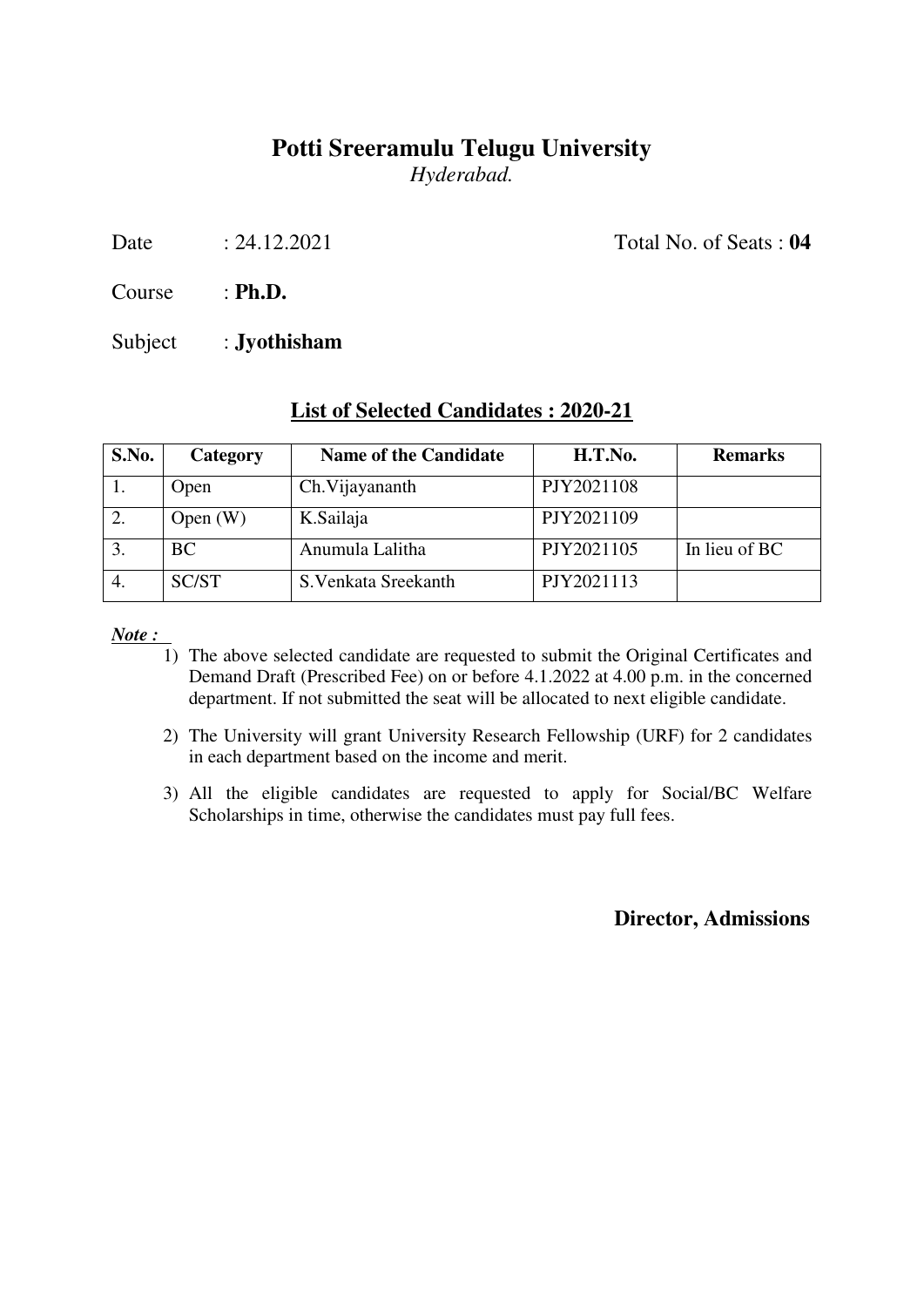### **Potti Sreeramulu Telugu University**  *Hyderabad.*

Date : 24.12.2021 Total No. of Seats : **04** 

Course : **Ph.D.**

Subject : **Jyothisham** 

#### **List of Selected Candidates : 2020-21**

| S.No. | Category     | <b>Name of the Candidate</b> | H.T.No.    | <b>Remarks</b> |
|-------|--------------|------------------------------|------------|----------------|
|       | Open         | Ch. Vijayananth              | PJY2021108 |                |
| 2.    | Open $(W)$   | K.Sailaja                    | PJY2021109 |                |
| 3.    | <b>BC</b>    | Anumula Lalitha              | PJY2021105 | In lieu of BC  |
|       | <b>SC/ST</b> | S. Venkata Sreekanth         | PJY2021113 |                |

*Note :* 

- 1) The above selected candidate are requested to submit the Original Certificates and Demand Draft (Prescribed Fee) on or before 4.1.2022 at 4.00 p.m. in the concerned department. If not submitted the seat will be allocated to next eligible candidate.
- 2) The University will grant University Research Fellowship (URF) for 2 candidates in each department based on the income and merit.
- 3) All the eligible candidates are requested to apply for Social/BC Welfare Scholarships in time, otherwise the candidates must pay full fees.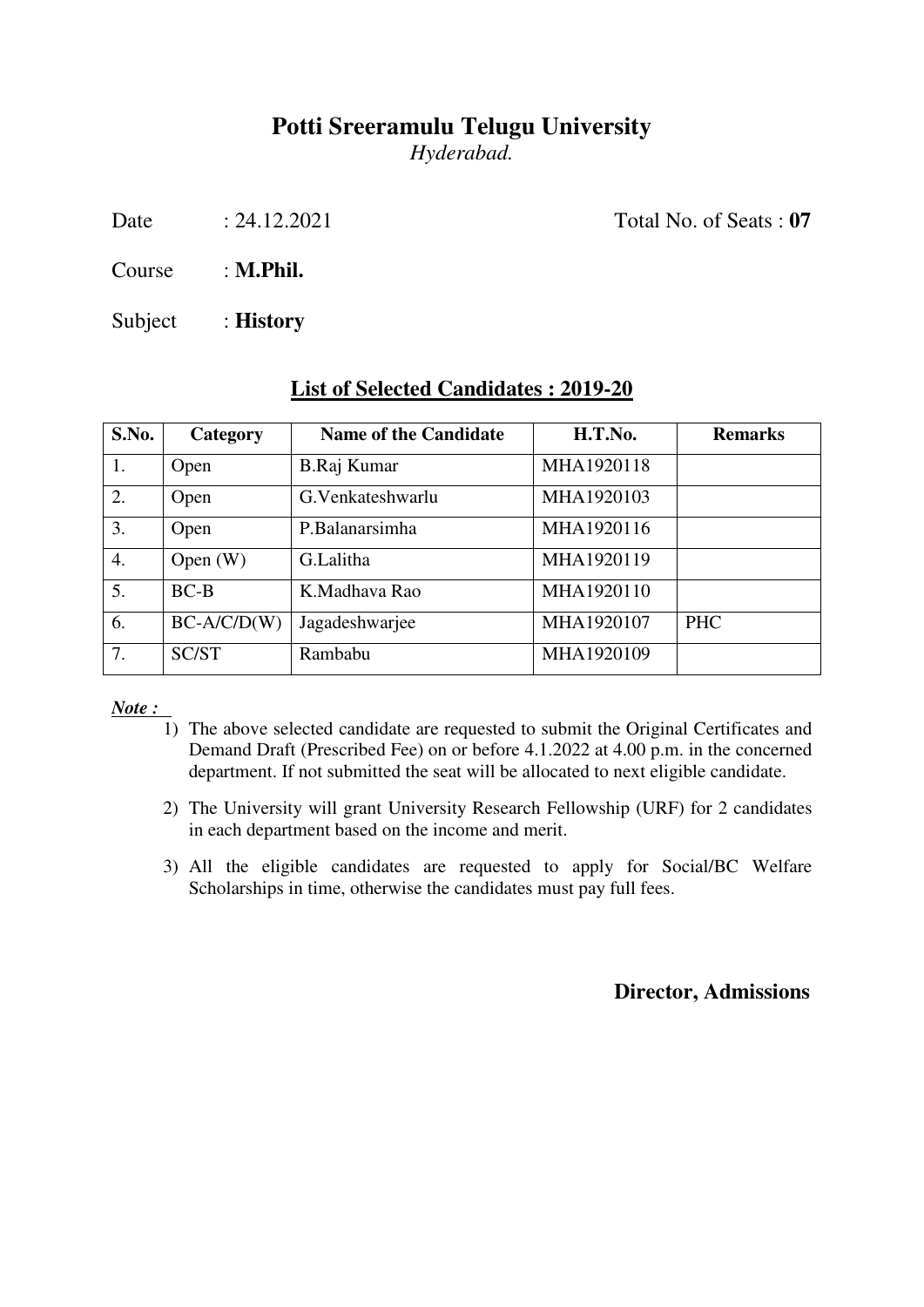*Hyderabad.* 

Date : 24.12.2021 Total No. of Seats : **07** 

Course : **M.Phil.**

Subject : **History** 

| S.No.            | Category      | <b>Name of the Candidate</b> | H.T.No.    | <b>Remarks</b> |
|------------------|---------------|------------------------------|------------|----------------|
| 1.               | Open          | B.Raj Kumar                  | MHA1920118 |                |
| 2.               | Open          | G. Venkateshwarlu            | MHA1920103 |                |
| $\overline{3}$ . | Open          | P.Balanarsimha               | MHA1920116 |                |
| $\overline{4}$ . | Open $(W)$    | G.Lalitha                    | MHA1920119 |                |
| $\overline{5}$ . | $BC-B$        | K.Madhaya Rao                | MHA1920110 |                |
| 6.               | $BC-A/C/D(W)$ | Jagadeshwarjee               | MHA1920107 | <b>PHC</b>     |
| 7.               | SC/ST         | Rambabu                      | MHA1920109 |                |

### **List of Selected Candidates : 2019-20**

*Note :* 

- 1) The above selected candidate are requested to submit the Original Certificates and Demand Draft (Prescribed Fee) on or before 4.1.2022 at 4.00 p.m. in the concerned department. If not submitted the seat will be allocated to next eligible candidate.
- 2) The University will grant University Research Fellowship (URF) for 2 candidates in each department based on the income and merit.
- 3) All the eligible candidates are requested to apply for Social/BC Welfare Scholarships in time, otherwise the candidates must pay full fees.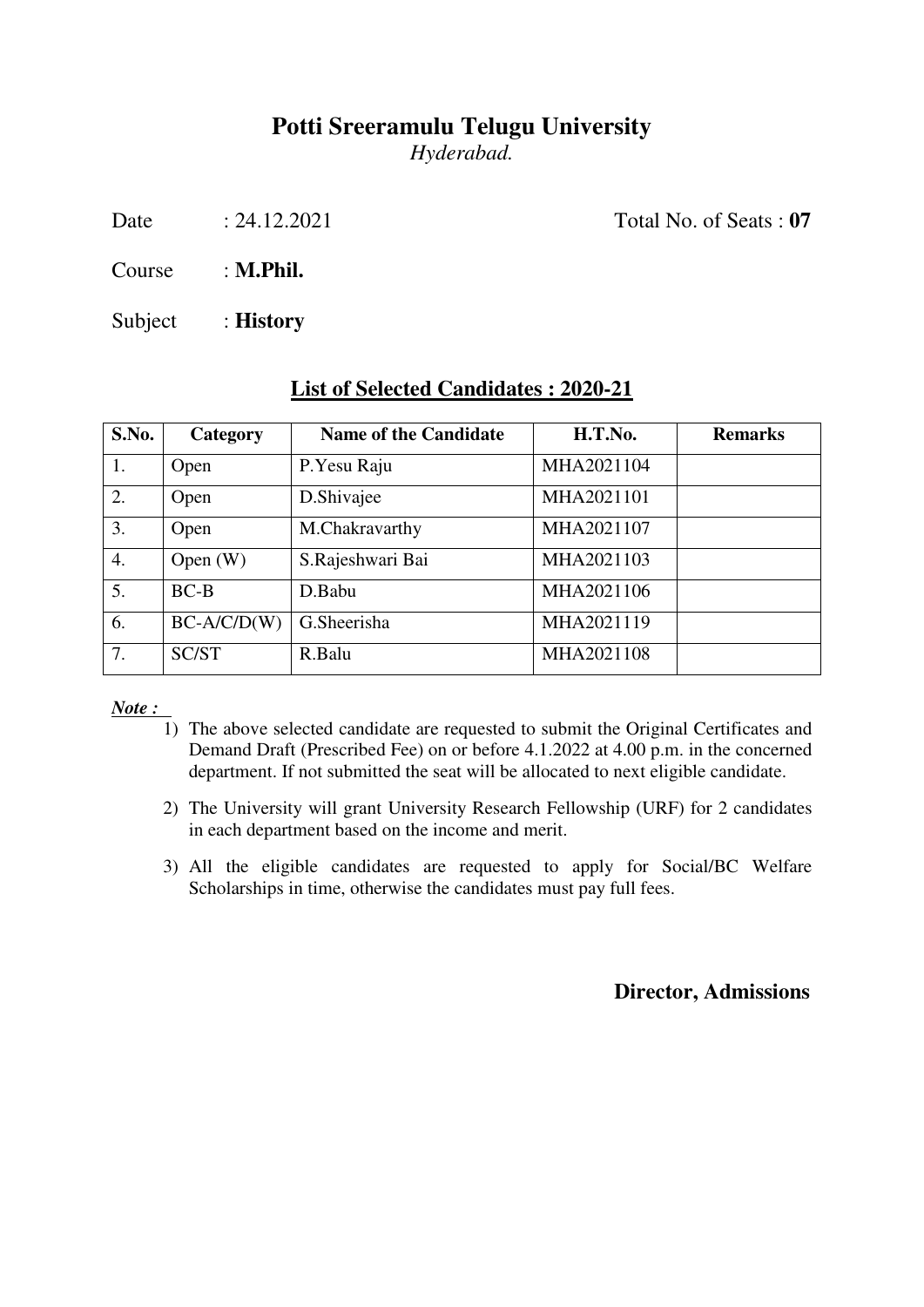*Hyderabad.* 

Date : 24.12.2021 Total No. of Seats : **07** 

Course : **M.Phil.**

Subject : **History** 

| S.No.            | Category      | <b>Name of the Candidate</b> | H.T.No.    | <b>Remarks</b> |
|------------------|---------------|------------------------------|------------|----------------|
| 1.               | Open          | P.Yesu Raju                  | MHA2021104 |                |
| 2.               | Open          | D.Shivajee                   | MHA2021101 |                |
| 3.               | Open          | M.Chakravarthy               | MHA2021107 |                |
| $\overline{4}$ . | Open $(W)$    | S.Rajeshwari Bai             | MHA2021103 |                |
| 5.               | $BC-B$        | D.Babu                       | MHA2021106 |                |
| 6.               | $BC-A/C/D(W)$ | G.Sheerisha                  | MHA2021119 |                |
| 7.               | SC/ST         | R.Balu                       | MHA2021108 |                |

### **List of Selected Candidates : 2020-21**

*Note :* 

- 1) The above selected candidate are requested to submit the Original Certificates and Demand Draft (Prescribed Fee) on or before 4.1.2022 at 4.00 p.m. in the concerned department. If not submitted the seat will be allocated to next eligible candidate.
- 2) The University will grant University Research Fellowship (URF) for 2 candidates in each department based on the income and merit.
- 3) All the eligible candidates are requested to apply for Social/BC Welfare Scholarships in time, otherwise the candidates must pay full fees.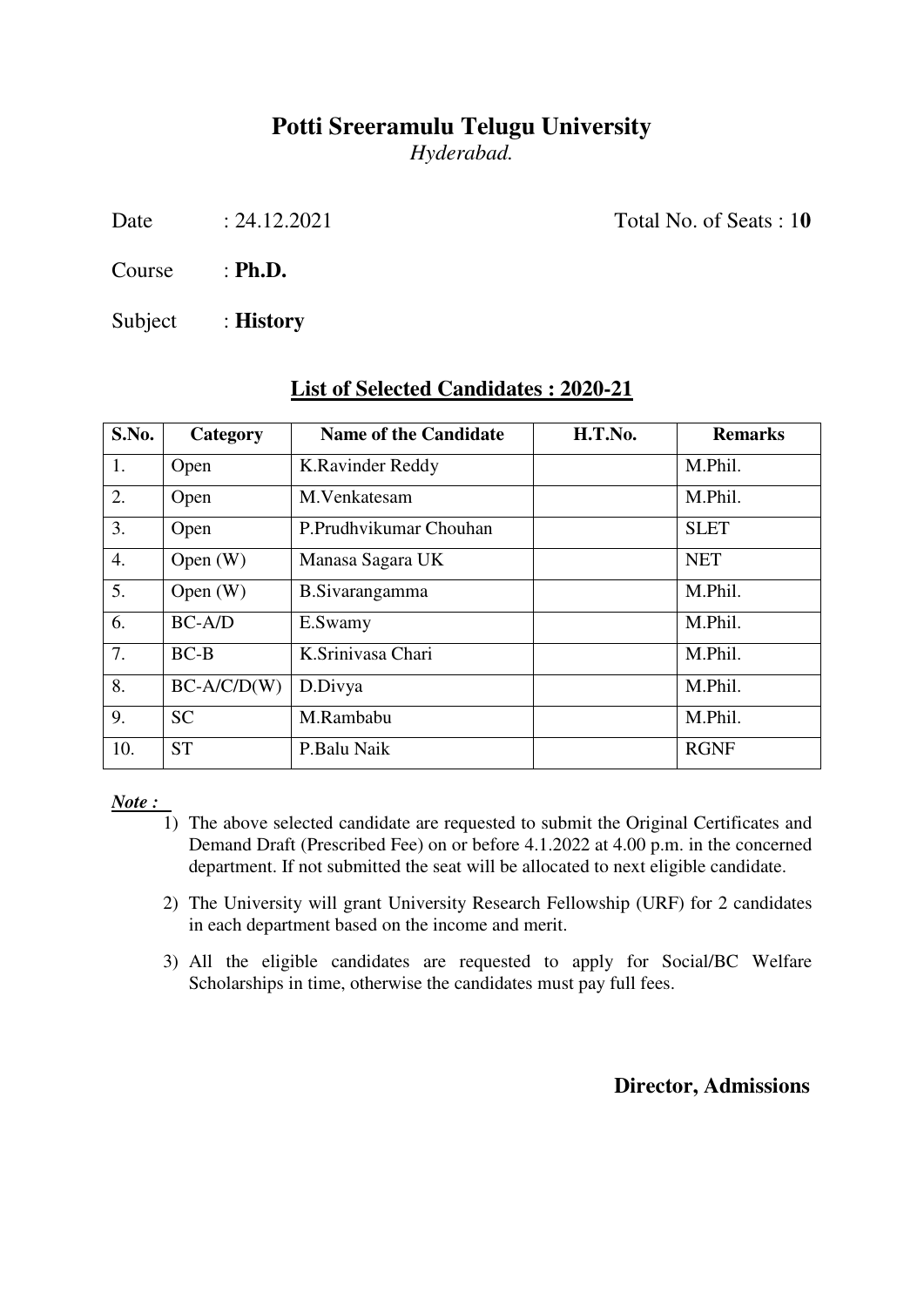*Hyderabad.* 

Date : 24.12.2021 Total No. of Seats : 10

Course : **Ph.D.**

Subject : **History** 

| S.No.            | Category      | <b>Name of the Candidate</b> | H.T.No. | <b>Remarks</b> |
|------------------|---------------|------------------------------|---------|----------------|
| 1.               | Open          | K.Ravinder Reddy             |         | M.Phil.        |
| 2.               | Open          | M.Venkatesam                 |         | M.Phil.        |
| 3.               | Open          | P.Prudhvikumar Chouhan       |         | <b>SLET</b>    |
| $\overline{4}$ . | Open $(W)$    | Manasa Sagara UK             |         | <b>NET</b>     |
| 5.               | Open $(W)$    | <b>B.Sivarangamma</b>        |         | M.Phil.        |
| 6.               | $BC-A/D$      | E.Swamy                      |         | M.Phil.        |
| 7.               | $BC-B$        | K.Srinivasa Chari            |         | M.Phil.        |
| 8.               | $BC-A/C/D(W)$ | D.Divya                      |         | M.Phil.        |
| 9.               | <b>SC</b>     | M.Rambabu                    |         | M.Phil.        |
| 10.              | <b>ST</b>     | P.Balu Naik                  |         | <b>RGNF</b>    |

### **List of Selected Candidates : 2020-21**

*Note :* 

- 1) The above selected candidate are requested to submit the Original Certificates and Demand Draft (Prescribed Fee) on or before 4.1.2022 at 4.00 p.m. in the concerned department. If not submitted the seat will be allocated to next eligible candidate.
- 2) The University will grant University Research Fellowship (URF) for 2 candidates in each department based on the income and merit.
- 3) All the eligible candidates are requested to apply for Social/BC Welfare Scholarships in time, otherwise the candidates must pay full fees.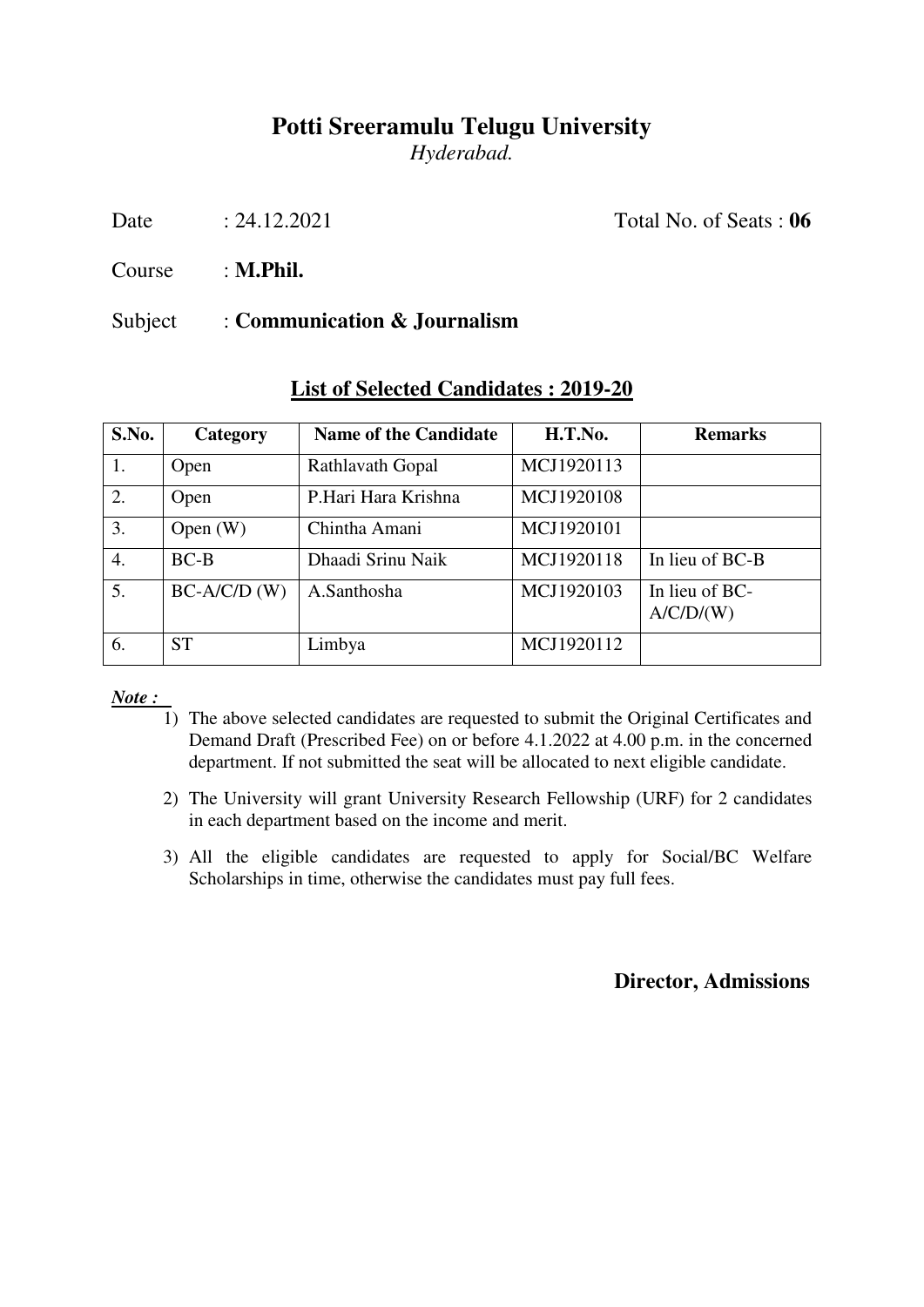*Hyderabad.* 

Date : 24.12.2021 Total No. of Seats : **06** 

Course : **M.Phil.**

#### Subject : **Communication & Journalism**

| S.No.            | Category       | <b>Name of the Candidate</b> | H.T.No.    | <b>Remarks</b>              |
|------------------|----------------|------------------------------|------------|-----------------------------|
| 1.               | Open           | <b>Rathlavath Gopal</b>      | MCJ1920113 |                             |
| $\overline{2}$ . | Open           | P.Hari Hara Krishna          | MCJ1920108 |                             |
| 3.               | Open $(W)$     | Chintha Amani                | MCJ1920101 |                             |
| $\overline{4}$ . | $BC-B$         | Dhaadi Srinu Naik            | MCJ1920118 | In lieu of BC-B             |
| 5.               | $BC-A/C/D$ (W) | A.Santhosha                  | MCJ1920103 | In lieu of BC-<br>A/C/D/(W) |
| 6.               | <b>ST</b>      | Limbya                       | MCJ1920112 |                             |

#### **List of Selected Candidates : 2019-20**

*Note :* 

- 1) The above selected candidates are requested to submit the Original Certificates and Demand Draft (Prescribed Fee) on or before 4.1.2022 at 4.00 p.m. in the concerned department. If not submitted the seat will be allocated to next eligible candidate.
- 2) The University will grant University Research Fellowship (URF) for 2 candidates in each department based on the income and merit.
- 3) All the eligible candidates are requested to apply for Social/BC Welfare Scholarships in time, otherwise the candidates must pay full fees.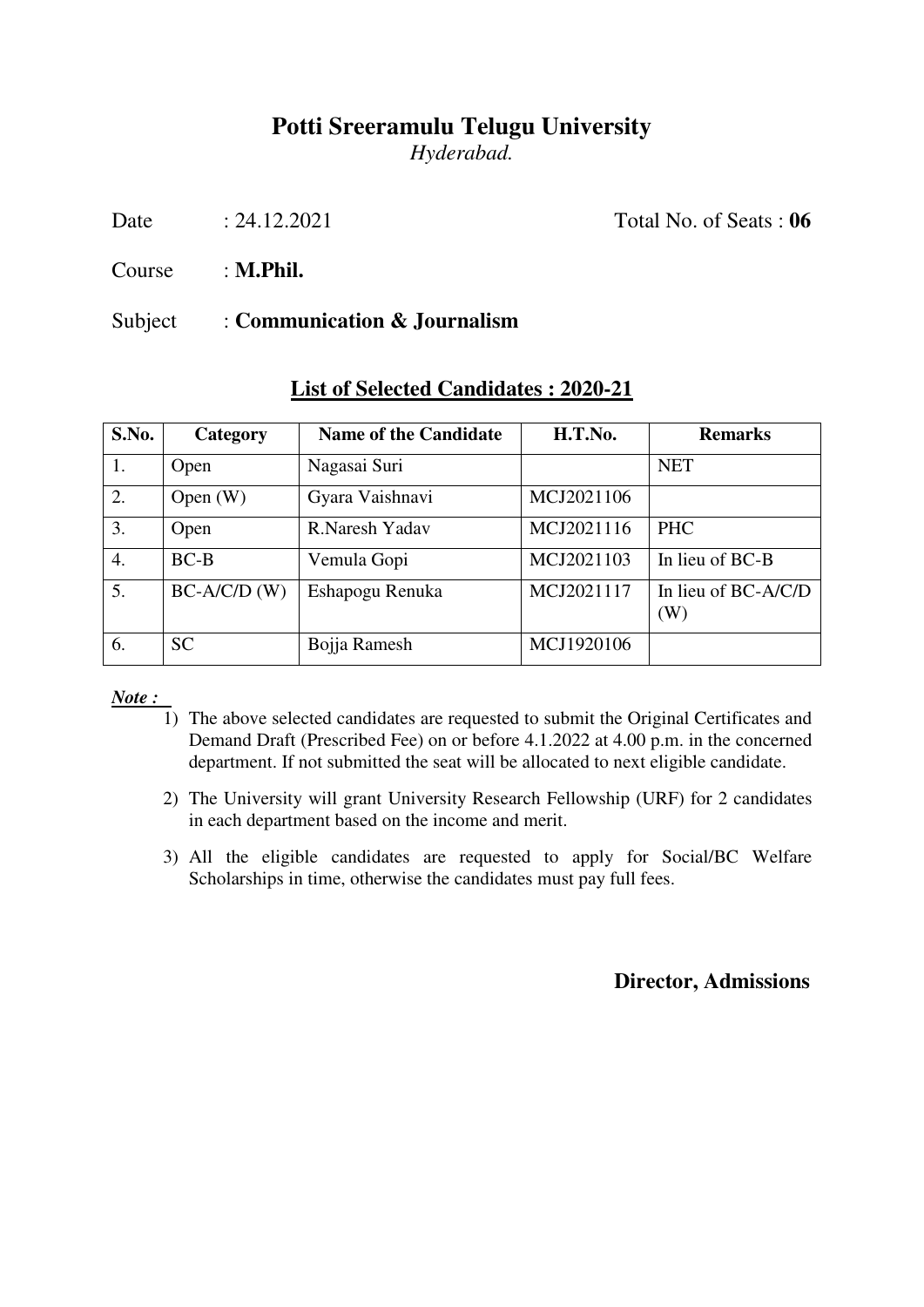*Hyderabad.* 

Date : 24.12.2021 Total No. of Seats : **06** 

Course : **M.Phil.**

#### Subject : **Communication & Journalism**

| S.No.            | Category       | <b>Name of the Candidate</b> | H.T.No.    | <b>Remarks</b>             |
|------------------|----------------|------------------------------|------------|----------------------------|
| 1.               | Open           | Nagasai Suri                 |            | <b>NET</b>                 |
| $\overline{2}$ . | Open $(W)$     | Gyara Vaishnavi              | MCJ2021106 |                            |
| 3.               | Open           | R.Naresh Yadav               | MCJ2021116 | <b>PHC</b>                 |
| $\overline{4}$ . | $BC-B$         | Vemula Gopi                  | MCJ2021103 | In lieu of BC-B            |
| 5.               | $BC-A/C/D$ (W) | Eshapogu Renuka              | MCJ2021117 | In lieu of BC-A/C/D<br>(W) |
| 6.               | <b>SC</b>      | Bojja Ramesh                 | MCJ1920106 |                            |

#### **List of Selected Candidates : 2020-21**

#### *Note :*

- 1) The above selected candidates are requested to submit the Original Certificates and Demand Draft (Prescribed Fee) on or before 4.1.2022 at 4.00 p.m. in the concerned department. If not submitted the seat will be allocated to next eligible candidate.
- 2) The University will grant University Research Fellowship (URF) for 2 candidates in each department based on the income and merit.
- 3) All the eligible candidates are requested to apply for Social/BC Welfare Scholarships in time, otherwise the candidates must pay full fees.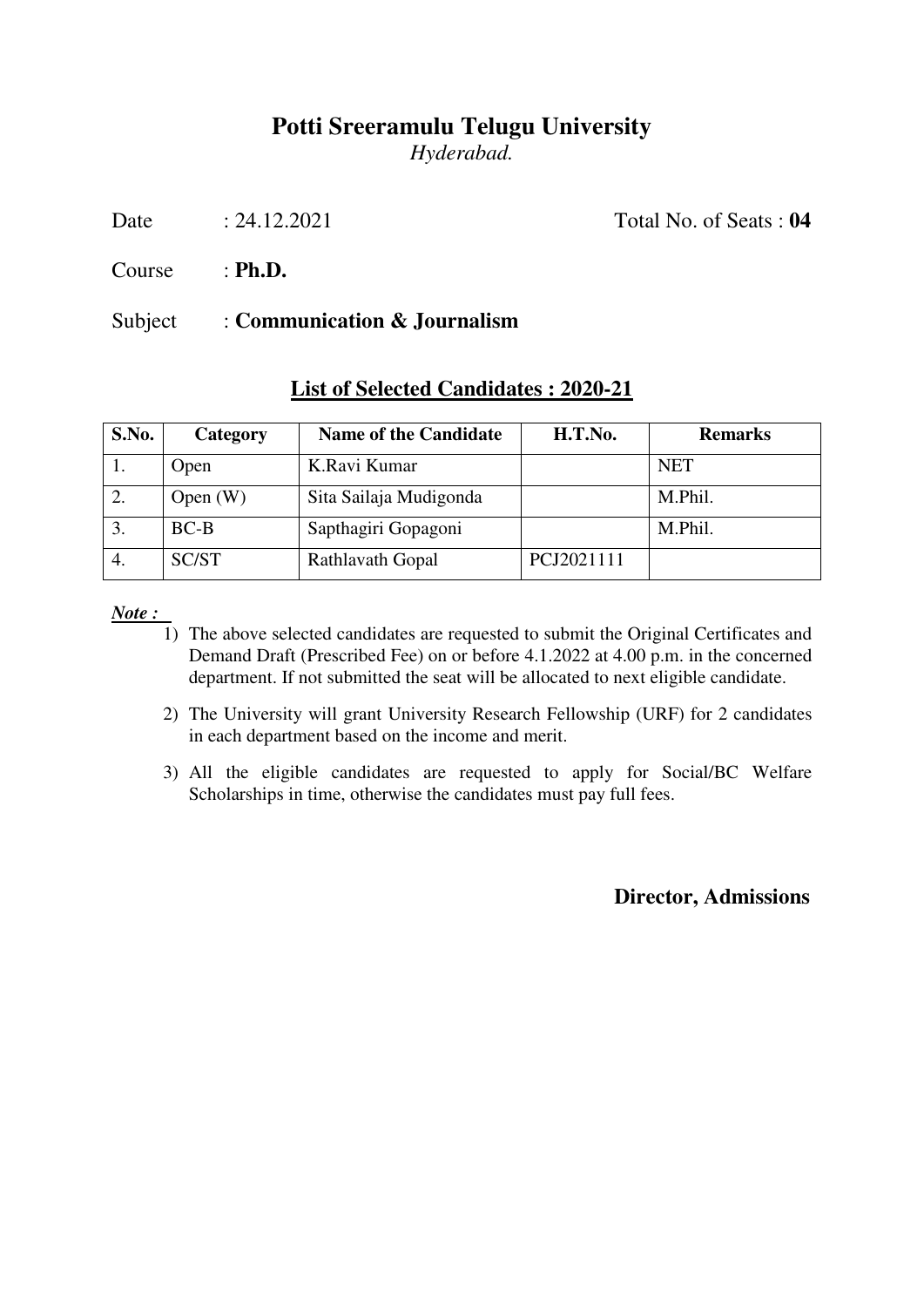*Hyderabad.* 

Date : 24.12.2021 Total No. of Seats : **04** 

Course : **Ph.D.**

#### Subject : **Communication & Journalism**

| S.No. | Category   | <b>Name of the Candidate</b> | H.T.No.    | <b>Remarks</b> |
|-------|------------|------------------------------|------------|----------------|
|       | Open       | K.Ravi Kumar                 |            | <b>NET</b>     |
| 2.    | Open $(W)$ | Sita Sailaja Mudigonda       |            | M.Phil.        |
| 3.    | $BC-B$     | Sapthagiri Gopagoni          |            | M.Phil.        |
| 4.    | SC/ST      | Rathlavath Gopal             | PCJ2021111 |                |

#### **List of Selected Candidates : 2020-21**

*Note :* 

- 1) The above selected candidates are requested to submit the Original Certificates and Demand Draft (Prescribed Fee) on or before 4.1.2022 at 4.00 p.m. in the concerned department. If not submitted the seat will be allocated to next eligible candidate.
- 2) The University will grant University Research Fellowship (URF) for 2 candidates in each department based on the income and merit.
- 3) All the eligible candidates are requested to apply for Social/BC Welfare Scholarships in time, otherwise the candidates must pay full fees.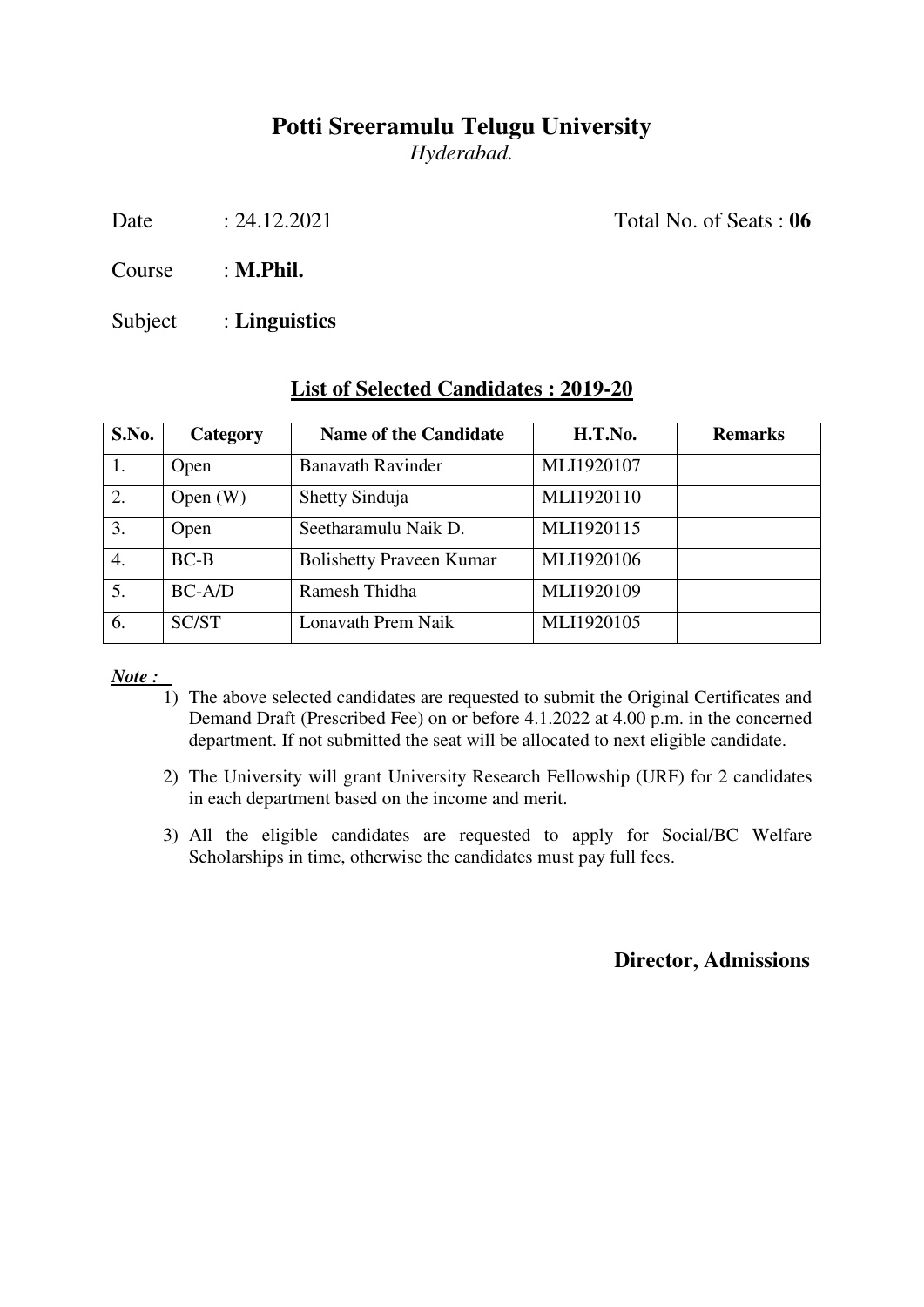*Hyderabad.* 

Date : 24.12.2021 Total No. of Seats : **06** 

Course : **M.Phil.**

Subject : **Linguistics**

| S.No. | Category   | <b>Name of the Candidate</b>    | H.T.No.    | <b>Remarks</b> |
|-------|------------|---------------------------------|------------|----------------|
|       | Open       | <b>Banavath Ravinder</b>        | MLI1920107 |                |
| 2.    | Open $(W)$ | Shetty Sinduja                  | MLI1920110 |                |
| 3.    | Open       | Seetharamulu Naik D.            | MLI1920115 |                |
| 4.    | $BC-B$     | <b>Bolishetty Praveen Kumar</b> | MLI1920106 |                |
| 5.    | $BC-A/D$   | Ramesh Thidha                   | MLI1920109 |                |
| 6.    | SC/ST      | Lonavath Prem Naik              | MLI1920105 |                |

#### **List of Selected Candidates : 2019-20**

*Note :* 

- 1) The above selected candidates are requested to submit the Original Certificates and Demand Draft (Prescribed Fee) on or before 4.1.2022 at 4.00 p.m. in the concerned department. If not submitted the seat will be allocated to next eligible candidate.
- 2) The University will grant University Research Fellowship (URF) for 2 candidates in each department based on the income and merit.
- 3) All the eligible candidates are requested to apply for Social/BC Welfare Scholarships in time, otherwise the candidates must pay full fees.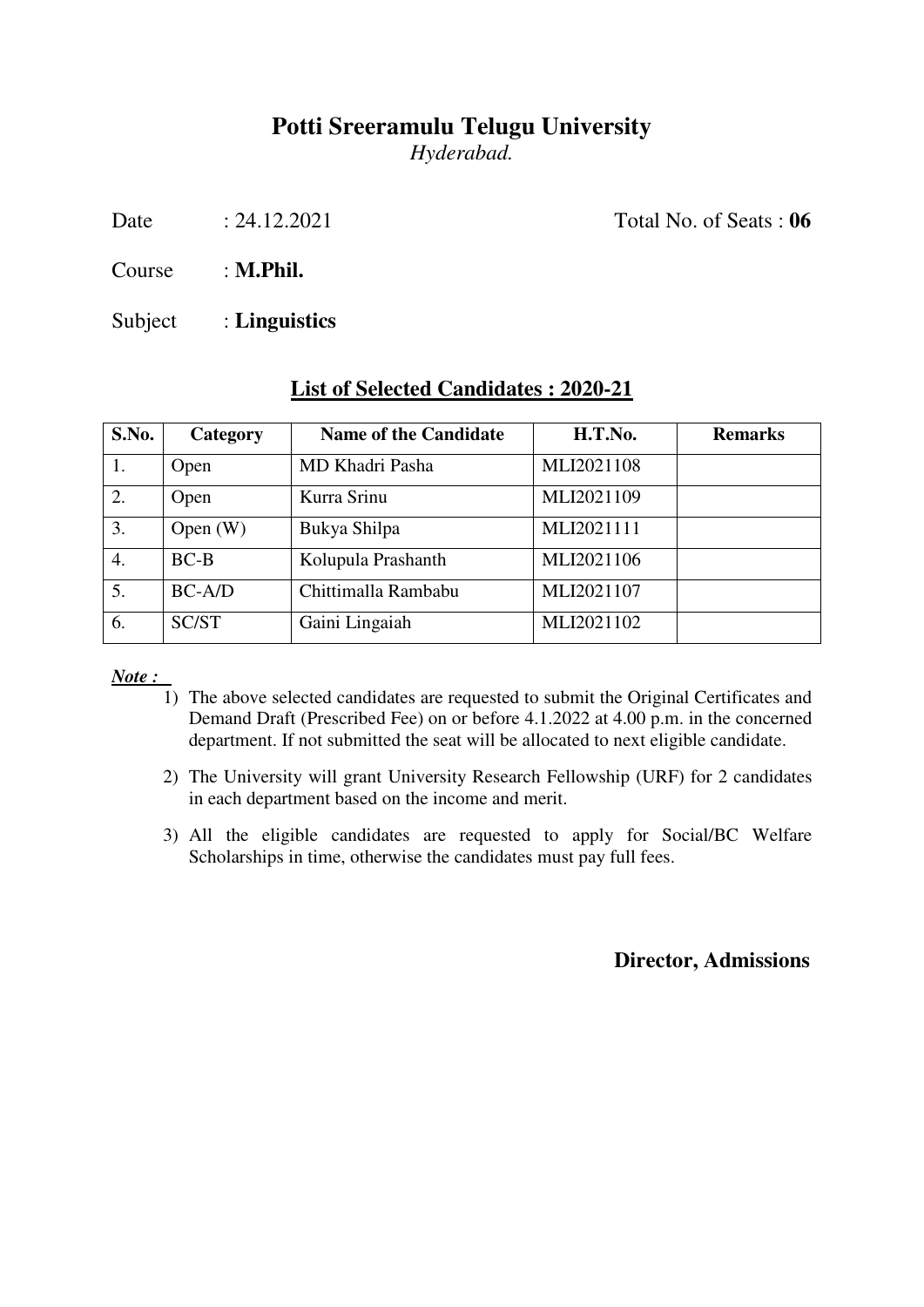*Hyderabad.* 

Date : 24.12.2021 Total No. of Seats : **06** 

Course : **M.Phil.**

Subject : **Linguistics**

| S.No. | Category   | <b>Name of the Candidate</b> | H.T.No.    | <b>Remarks</b> |
|-------|------------|------------------------------|------------|----------------|
|       | Open       | MD Khadri Pasha              | MLI2021108 |                |
| 2.    | Open       | Kurra Srinu                  | MLI2021109 |                |
| 3.    | Open $(W)$ | Bukya Shilpa                 | MLI2021111 |                |
| 4.    | $BC-B$     | Kolupula Prashanth           | MLI2021106 |                |
| 5.    | $BC-A/D$   | Chittimalla Rambabu          | MLI2021107 |                |
| 6.    | SC/ST      | Gaini Lingaiah               | MLI2021102 |                |

#### **List of Selected Candidates : 2020-21**

*Note :* 

- 1) The above selected candidates are requested to submit the Original Certificates and Demand Draft (Prescribed Fee) on or before 4.1.2022 at 4.00 p.m. in the concerned department. If not submitted the seat will be allocated to next eligible candidate.
- 2) The University will grant University Research Fellowship (URF) for 2 candidates in each department based on the income and merit.
- 3) All the eligible candidates are requested to apply for Social/BC Welfare Scholarships in time, otherwise the candidates must pay full fees.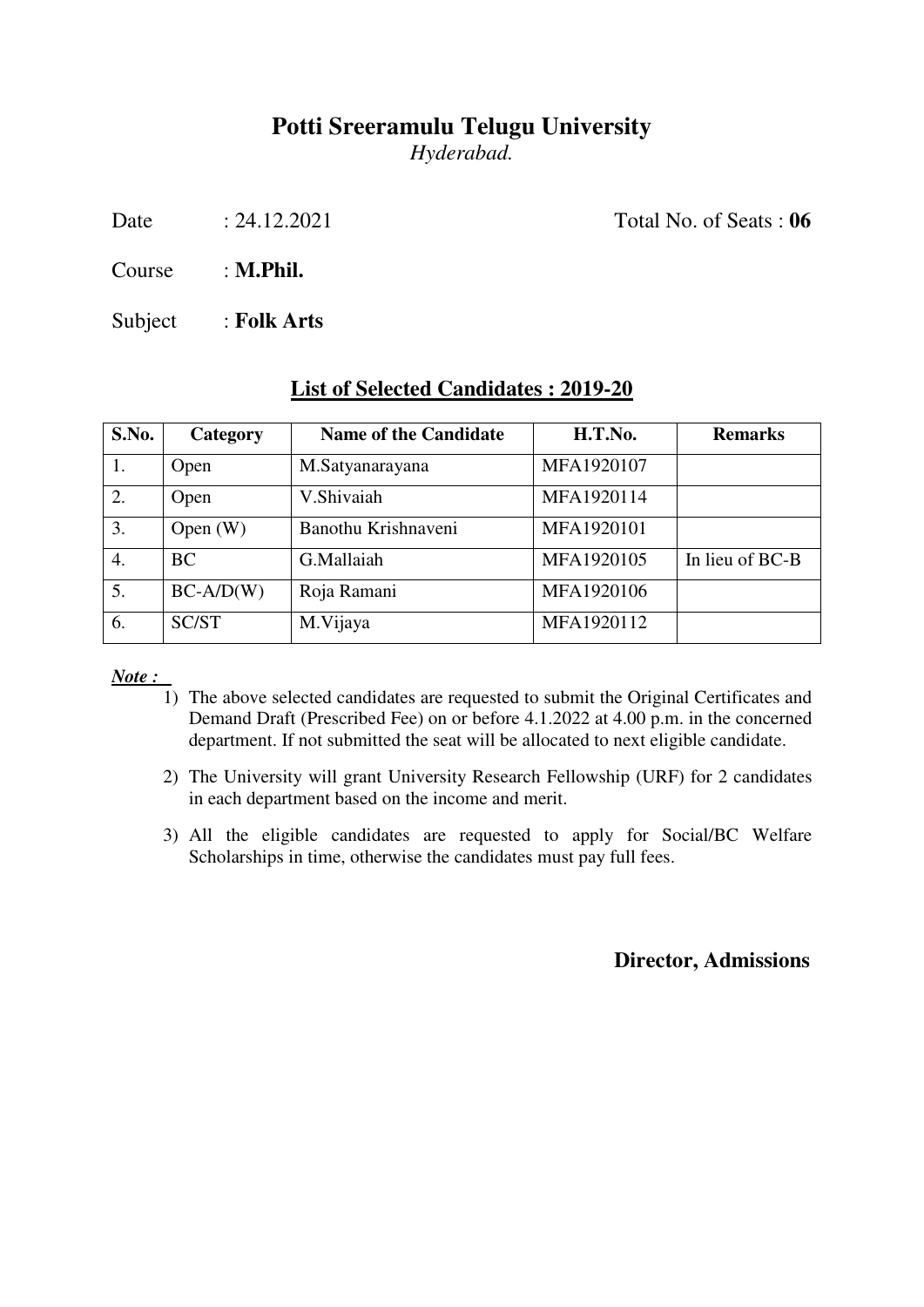*Hyderabad.* 

Date : 24.12.2021 Total No. of Seats : **06** 

Course : **M.Phil.**

Subject : **Folk Arts**

| S.No.            | Category    | Name of the Candidate | H.T.No.    | <b>Remarks</b>  |
|------------------|-------------|-----------------------|------------|-----------------|
| 1.               | Open        | M.Satyanarayana       | MFA1920107 |                 |
| 2.               | Open        | V.Shivaiah            | MFA1920114 |                 |
| $\overline{3}$ . | Open $(W)$  | Banothu Krishnaveni   | MFA1920101 |                 |
| 4.               | <b>BC</b>   | G.Mallaiah            | MFA1920105 | In lieu of BC-B |
| 5.               | $BC-A/D(W)$ | Roja Ramani           | MFA1920106 |                 |

6. SC/ST M.Vijaya MFA1920112

#### **List of Selected Candidates : 2019-20**

*Note :* 

- 1) The above selected candidates are requested to submit the Original Certificates and Demand Draft (Prescribed Fee) on or before 4.1.2022 at 4.00 p.m. in the concerned department. If not submitted the seat will be allocated to next eligible candidate.
- 2) The University will grant University Research Fellowship (URF) for 2 candidates in each department based on the income and merit.
- 3) All the eligible candidates are requested to apply for Social/BC Welfare Scholarships in time, otherwise the candidates must pay full fees.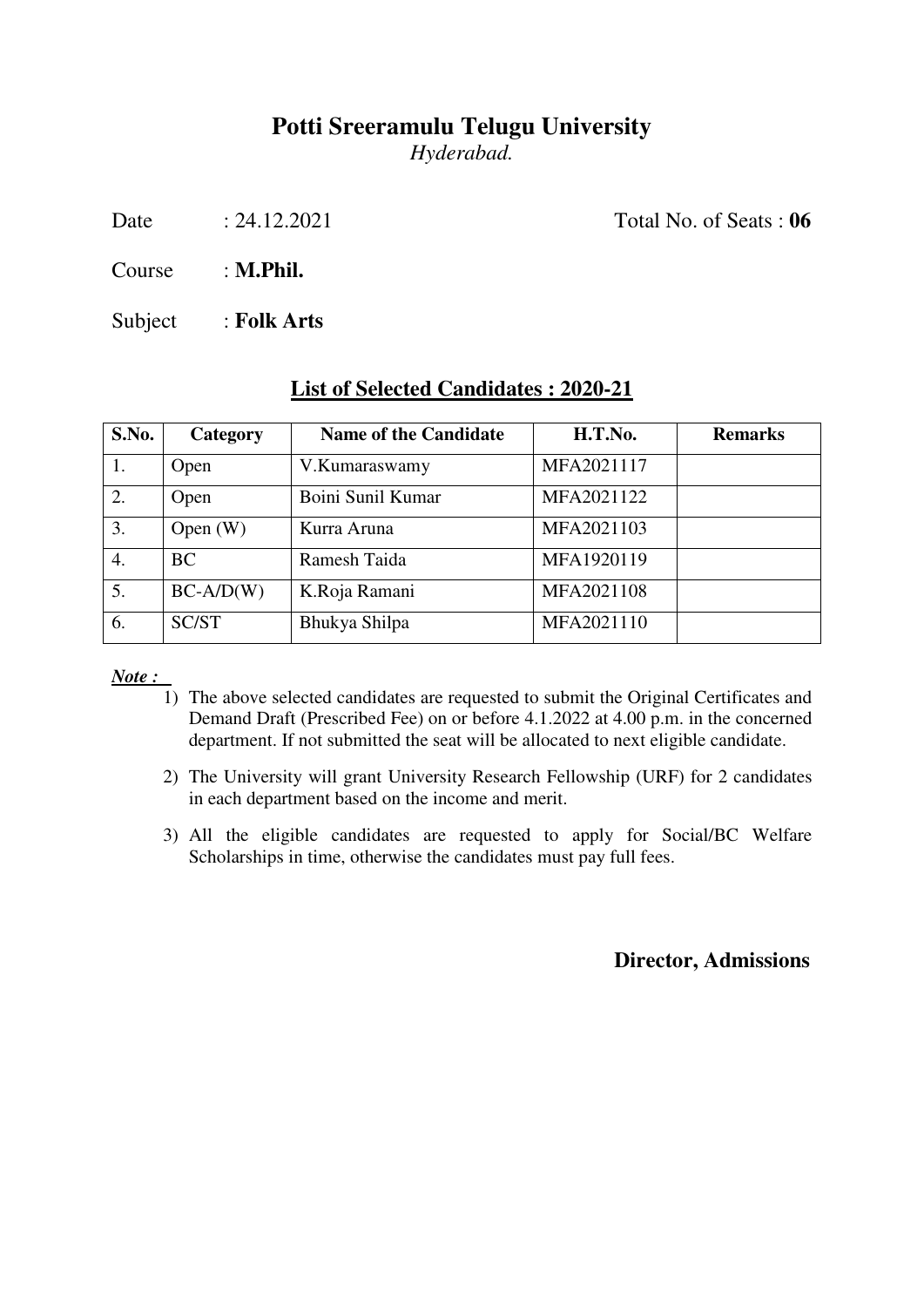*Hyderabad.* 

Date : 24.12.2021 Total No. of Seats : **06** 

Course : **M.Phil.**

Subject : **Folk Arts**

| S.No. | Category    | <b>Name of the Candidate</b> | H.T.No.    | <b>Remarks</b> |
|-------|-------------|------------------------------|------------|----------------|
| 1.    | Open        | V.Kumaraswamy                | MFA2021117 |                |
| 2.    | Open        | Boini Sunil Kumar            | MFA2021122 |                |
| 3.    | Open $(W)$  | Kurra Aruna                  | MFA2021103 |                |
| 4.    | <b>BC</b>   | Ramesh Taida                 | MFA1920119 |                |
| 5.    | $BC-A/D(W)$ | K.Roja Ramani                | MFA2021108 |                |
| 6.    | SC/ST       | Bhukya Shilpa                | MFA2021110 |                |

#### **List of Selected Candidates : 2020-21**

*Note :* 

- 1) The above selected candidates are requested to submit the Original Certificates and Demand Draft (Prescribed Fee) on or before 4.1.2022 at 4.00 p.m. in the concerned department. If not submitted the seat will be allocated to next eligible candidate.
- 2) The University will grant University Research Fellowship (URF) for 2 candidates in each department based on the income and merit.
- 3) All the eligible candidates are requested to apply for Social/BC Welfare Scholarships in time, otherwise the candidates must pay full fees.